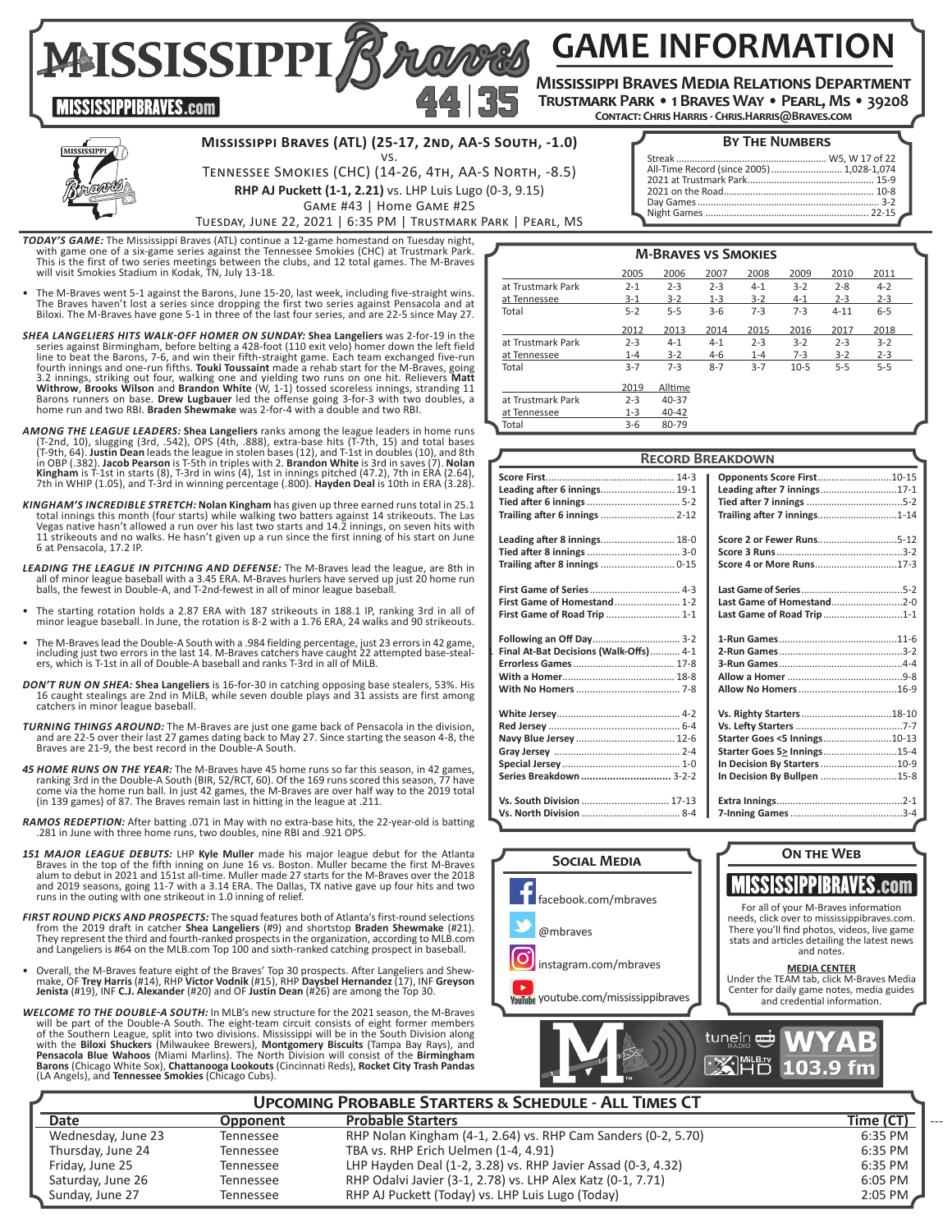**GAME INFORMATION**

**Mississippi Braves Media Relations Department Trustmark Park • 1 Braves Way • Pearl, Ms • 39208**

**Contact: Chris Harris - Chris.Harris@Braves.com**

**MISSISSIPPIBRAVES.com** 

# **Mississippi Braves (ATL) (25-17, 2nd, AA-S South, -1.0)**

vs. Tennessee Smokies (CHC) (14-26, 4th, AA-S North, -8.5) **RHP AJ Puckett (1-1, 2.21)** vs. LHP Luis Lugo (0-3, 9.15)

# **BY THE NUMBERS**

| All-Time Record (since 2005)  1,028-1,074 |  |
|-------------------------------------------|--|
|                                           |  |
|                                           |  |
|                                           |  |
|                                           |  |
|                                           |  |

Game #43 | Home Game #25 Tuesday, June 22, 2021 | 6:35 PM | Trustmark Park | Pearl, MS

**TODAY'S GAME:** The Mississippi Braves (ATL) continue a 12-game homestand on Tuesday night, with game one of a six-game series against the Tennessee Smokies (CHC) at Trustmark Park.<br>This is the first of two series reneting

**MAISSISSIPPIZ** 

- The M-Braves went 5-1 against the Barons, June 15-20, last week, including five-straight wins.<br>The Braves haven't lost a series since dropping the first two series against Pensacola and at<br>Biloxi. The M-Braves have gone
- *SHEA LANGELIERS HITS WALK-OFF HOMER ON SUNDAY:* **Shea Langeliers** was 2-for-19 in the series against Birmingham, before belting a 428-foot (110 exit velo) homer down the left field<br>line to beat the Barons, 7-6, and win their fifth-straight game. Each team exchanged five-run<br>fourth innings and one-run fifths home run and two RBI. **Braden Shewmake** was 2-for-4 with a double and two RBI.
- **AMONG THE LEAGUE LEADERS: Shea Langeliers** ranks among the league leaders in home runs (T-2nd, 10), slugging (3rd, .542), OPS (4th, .888), extra-base hits (T-7th, 15) and total bases (T-9th, 64). Justin Dean leads the le 7th in WHIP (1.05), and T-3rd in winning percentage (.800). **Hayden Deal** is 10th in ERA (3.28).
- *KINGHAM'S INCREDIBLE STRETCH:* **Nolan Kingham** has given up three earned runs total in 25.1 total innings this month (four starts) while walking two batters against 14 strikeouts. The Las Vegas native hasn't allowed a run over his last two starts and 14.2 innings, on seven hits with 11 strikeouts and no walks. He hasn't given up a run since the first inning of his start on June 6 at Pensacola, 17.2 IP.
- *LEADING THE LEAGUE IN PITCHING AND DEFENSE:* The M-Braves lead the league, are 8th in all of minor league baseball with a 3.45 ERA. M-Braves hurlers have served up just 20 home run balls, the fewest in Double-A, and T-2nd-fewest in all of minor league baseball.
- The starting rotation holds a 2.87 ERA with 187 strikeouts in 188.1 IP, ranking 3rd in all of minor league baseball. In June, the rotation is 8-2 with a 1.76 ERA, 24 walks and 90 strikeouts.
- The M-Braves lead the Double-A South with a .984 fielding percentage, just 23 errors in 42 game,<br>including just two errors in the last 14. M-Braves catchers have caught 22 attempted base-steal-<br>ers, which is T-1st in all
- *DON'T RUN ON SHEA:* **Shea Langeliers** is 16-for-30 in catching opposing base stealers, 53%. His 16 caught stealings are 2nd in MiLB, while seven double plays and 31 assists are first among catchers in minor league baseball.
- *TURNING THINGS AROUND:* The M-Braves are just one game back of Pensacola in the division, and are 22-5 over their last 27 games dating back to May 27. Since starting the season 4-8, the Braves are 21-9, the best record in the Double-A South.
- **45 HOME RUNS ON THE YEAR:** The M-Braves have 45 home runs so far this season, in 42 games, ranking 3rd in the Double-A South (BIR, 52/RCT, 60). Of the 169 runs scoreed this season, 77 have come via the home run ball. In j
- *RAMOS REDEPTION:* After batting .071 in May with no extra-base hits, the 22-year-old is batting .281 in June with three home runs, two doubles, nine RBI and .921 OPS.
- *151 MAJOR LEAGUE DEBUTS:* LHP **Kyle Muller** made his major league debut for the Atlanta Braves in the top of the fifth inning on June 16 vs. Boston. Muller became the first M-Braves alum to debut in 2021 and 151st all-time. Muller made 27 starts for the M-Braves over the 2018 and 2019 seasons, going 11-7 with a 3.14 ERA. The Dallas, TX native gave up four hits and two runs in the outing with one strikeout in 1.0 inning of relief.
- *FIRST ROUND PICKS AND PROSPECTS:* The squad features both of Atlanta's first-round selections from the 2019 draft in catcher **Shea Langeliers** (#9) and shortstop **Braden Shewmake** (#21). They represent the third and fourth-ranked prospects in the organization, according to MLB.com and Langeliers is #64 on the MLB.com Top 100 and sixth-ranked catching prospect in baseball.
- Overall, the M-Braves feature eight of the Braves' Top 30 prospects. After Langeliers and Shew- make, OF **Trey Harris** (#14), RHP **Victor Vodnik** (#15), RHP **Daysbel Hernandez** (17), INF **Greyson Jenista** (#19), INF **C.J. Alexander** (#20) and OF **Justin Dean** (#26) are among the Top 30.
- WELCOME TO THE DOUBLE-A SOUTH: In MLB's new structure for the 2021 season, the M-Braves<br>of the bath of the Double-A South. The eight-team circuit be part of the part of the Southern members<br>of the Southern League, split in with the **Biloxi Shuckers** (Milwaukee Brewers), **Montgomery Biscuits** (Tampa Bay Rays), and **Pensacola Blue Wahoos** (Miami Marlins). The North Division will consist of the **Birmingham Barons** (Chicago White Sox), **Chattanooga Lookouts** (Cincinnati Reds), **Rocket City Trash Pandas** (LA Angels), and **Tennessee Smokies** (Chicago Cubs).

|                   |         | <b>M-BRAVES VS SMOKIES</b> |         |         |         |          |         |  |
|-------------------|---------|----------------------------|---------|---------|---------|----------|---------|--|
|                   | 2005    | 2006                       | 2007    | 2008    | 2009    | 2010     | 2011    |  |
| at Trustmark Park | $2 - 1$ | $2 - 3$                    | $2 - 3$ | $4 - 1$ | $3-2$   | $2 - 8$  | $4 - 2$ |  |
| at Tennessee      | $3-1$   | $3-2$                      | $1 - 3$ | $3 - 2$ | $4 - 1$ | $2 - 3$  | $2 - 3$ |  |
| Total             | $5 - 2$ | $5 - 5$                    | $3 - 6$ | $7 - 3$ | $7 - 3$ | $4 - 11$ | $6 - 5$ |  |
|                   | 2012    | 2013                       | 2014    | 2015    | 2016    | 2017     | 2018    |  |
| at Trustmark Park | $2 - 3$ | $4 - 1$                    | $4 - 1$ | $2 - 3$ | $3-2$   | $2 - 3$  | $3 - 2$ |  |
| at Tennessee      | $1 - 4$ | $3-2$                      | $4-6$   | $1 - 4$ | $7 - 3$ | $3 - 2$  | $2 - 3$ |  |
| Total             | $3 - 7$ | $7 - 3$                    | $8 - 7$ | $3 - 7$ | $10-5$  | $5 - 5$  | $5 - 5$ |  |
|                   | 2019    | Alltime                    |         |         |         |          |         |  |
| at Trustmark Park | $2 - 3$ | 40-37                      |         |         |         |          |         |  |
| at Tennessee      | $1 - 3$ | $40 - 42$                  |         |         |         |          |         |  |
| Total             | $3-6$   | 80-79                      |         |         |         |          |         |  |

|                                        | <b>RECORD BREAKDOWN</b>      |
|----------------------------------------|------------------------------|
|                                        | Opponents Score First10-15   |
| Leading after 6 innings 19-1           | Leading after 7 innings17-1  |
|                                        |                              |
|                                        | Trailing after 7 innings1-14 |
| Leading after 8 innings 18-0           |                              |
|                                        |                              |
|                                        | Score 4 or More Runs17-3     |
|                                        |                              |
| First Game of Homestand 1-2            | Last Game of Homestand2-0    |
| First Game of Road Trip  1-1           | Last Game of Road Trip1-1    |
| Following an Off Day 3-2               |                              |
| Final At-Bat Decisions (Walk-Offs) 4-1 |                              |
|                                        |                              |
|                                        |                              |
|                                        |                              |
|                                        | Vs. Righty Starters18-10     |
|                                        |                              |
|                                        | Starter Goes <5 Innings10-13 |
|                                        | Starter Goes 5> Innings15-4  |
|                                        | In Decision By Starters 10-9 |
| Series Breakdown  3-2-2                | In Decision By Bullpen 15-8  |
| Vs. South Division  17-13              |                              |
|                                        |                              |
|                                        |                              |



|                    |           | <b>UPCOMING PROBABLE STARTERS &amp; SCHEDULE - ALL TIMES CT</b> |           |
|--------------------|-----------|-----------------------------------------------------------------|-----------|
| <b>Date</b>        | Opponent  | <b>Probable Starters</b>                                        | Time (CT) |
| Wednesday, June 23 | Tennessee | RHP Nolan Kingham (4-1, 2.64) vs. RHP Cam Sanders (0-2, 5.70)   | 6:35 PM   |
| Thursday, June 24  | Tennessee | TBA vs. RHP Erich Uelmen (1-4, 4.91)                            | 6:35 PM   |
| Friday, June 25    | Tennessee | LHP Hayden Deal (1-2, 3.28) vs. RHP Javier Assad (0-3, 4.32)    | 6:35 PM   |
| Saturday, June 26  | Tennessee | RHP Odalvi Javier (3-1, 2.78) vs. LHP Alex Katz (0-1, 7.71)     | 6:05 PM   |
| Sunday, June 27    | Tennessee | RHP AJ Puckett (Today) vs. LHP Luis Lugo (Today)                | $2:05$ PM |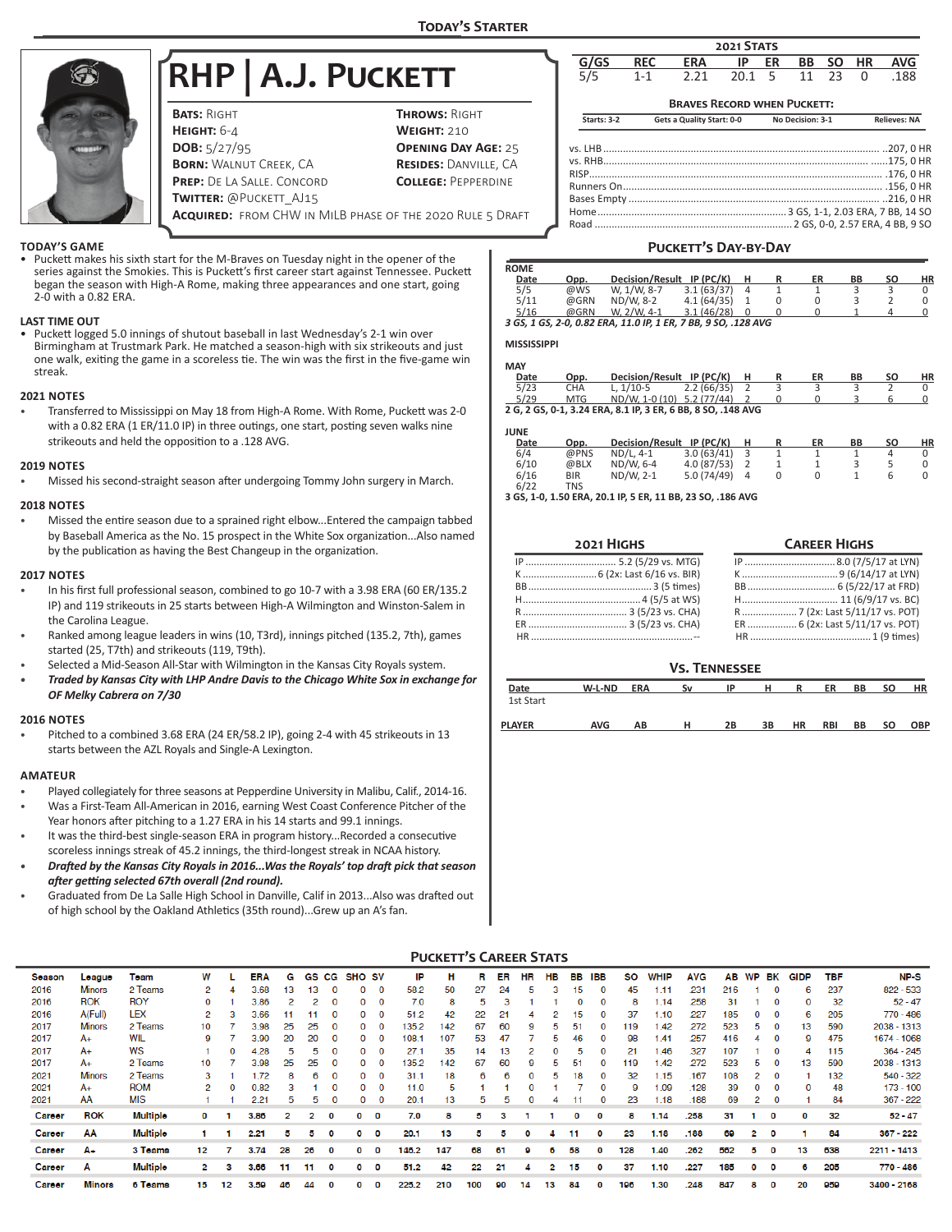

# **RHP | A.J. Puckett**

| <b>BATS: RIGHT</b>                                               | <b>THROWS: RIGHT</b>         |
|------------------------------------------------------------------|------------------------------|
| HEIGHT: $6-4$                                                    | <b>WEIGHT: 210</b>           |
| <b>DOB:</b> $5/27/95$                                            | <b>OPENING DAY AGE: 25</b>   |
| <b>BORN: WALNUT CREEK, CA</b>                                    | <b>RESIDES: DANVILLE, CA</b> |
| <b>PREP:</b> DE LA SALLE. CONCORD                                | <b>COLLEGE: PEPPERDINE</b>   |
| <b>TWITTER: @PUCKETT AJ15</b>                                    |                              |
| <b>ACQUIRED:</b> FROM CHW IN MILB PHASE OF THE 2020 RULE 5 DRAFT |                              |

# **Braves Record when Puckett: Starts: 3-2 Gets a Quality Start: 0-0 No Decision: 3-1 Relieves: NA** vs. LHB.................................................................................................. ..207, 0 HR vs. RHB.............................................................................................. ......175, 0 HR RISP........................................................................................................ .176, 0 HR Runners On............................................................................................ .156, 0 HR Bases Empty ......................................................................................... ..216, 0 HR Home................................................................... 3 GS, 1-1, 2.03 ERA, 7 BB, 14 SO **G/GS REC ERA IP ER BB SO HR AVG** 5/5 1-1 2.21 20.1 5 11 23 0 .188 **2021 Stats**

Road ...................................................................... 2 GS, 0-0, 2.57 ERA, 4 BB, 9 SO

# **Puckett's Day-by-Day ROME Date Opp. Decision/Result IP (PC/K) H R ER BB SO HI** 5/5 @WS W, 1/W, 8-7 3.1 (63/37) 4 1 1 3 3 3 0<br>5/11 @GRN ND/W, 8-2 4.1 (64/35) 1 0 0 3 2 0 5/5 @WS W, 1/W, 8-7 3.1 (63/37) 4 1 1 3 3 0 5/11 @GRN ND/W, 8-2 4.1 (64/35) 1 0 0 3 2 0 5/16 @GRN W, 2/W, 4-1 3.1 (46/28) 0 0 0 1 4 0 *3 GS, 1 GS, 2-0, 0.82 ERA, 11.0 IP, 1 ER, 7 BB, 9 SO, .128 AVG*

# **MISSISSIPPI**

| MAY  |            |                                                              |            |  |    |    |    |    |
|------|------------|--------------------------------------------------------------|------------|--|----|----|----|----|
| Date | Opp.       | Decision/Result IP (PC/K)                                    |            |  | ER | ВB | SΟ | ΗR |
| 5/23 | <b>CHA</b> | L. $1/10-5$                                                  | 2.2(66/35) |  |    |    |    |    |
| 5/29 | MTG        | ND/W. 1-0 (10) 5.2 (77/44)                                   |            |  |    |    |    |    |
|      |            | 2 G, 2 GS, 0-1, 3.24 ERA, 8.1 IP, 3 ER, 6 BB, 8 SO, .148 AVG |            |  |    |    |    |    |

#### **JUNE**

| <b>JUIVL</b> |            |                        |            |   |    |    |    |    |
|--------------|------------|------------------------|------------|---|----|----|----|----|
| Date         | Opp.       | <b>Decision/Result</b> | IP (PC/K)  | н | ER | BB | SΟ | ΗR |
| 6/4          | @PNS       | $ND/L.$ 4-1            | 3.0(63/41) |   |    |    |    |    |
| 6/10         | @BLX       | ND/W. 6-4              | 4.0(87/53) |   |    |    |    |    |
| 6/16         | <b>BIR</b> | ND/W. 2-1              | 5.0(74/49) | 4 |    |    |    |    |
| 6/22         | TNS        |                        |            |   |    |    |    |    |

6/22 TNS **3 GS, 1-0, 1.50 ERA, 20.1 IP, 5 ER, 11 BB, 23 SO, .186 AVG**

| 2021 HIGHS | <b>CAREER HIGHS</b>              |
|------------|----------------------------------|
|            |                                  |
|            |                                  |
|            |                                  |
|            |                                  |
|            |                                  |
|            | ER  6 (2x: Last 5/11/17 vs. POT) |
|            |                                  |

| <b>VS. TENNESSEE</b> |
|----------------------|
|----------------------|

| Date          | W-L-ND     | <b>ERA</b> | Sν | IP | н  | R         | ER         | BB | <b>SO</b> | HR  |
|---------------|------------|------------|----|----|----|-----------|------------|----|-----------|-----|
| 1st Start     |            |            |    |    |    |           |            |    |           |     |
| <b>PLAYER</b> | <b>AVG</b> | ΑВ         | н  | 2В | 3B | <b>HR</b> | <b>RBI</b> | BB | SΟ        | OBP |

# **TODAY'S GAME**

• Puckett makes his sixth start for the M-Braves on Tuesday night in the opener of the series against the Smokies. This is Puckett's first career start against Tennessee. Puckett began the season with High-A Rome, making three appearances and one start, going 2-0 with a 0.82 ERA.

#### **LAST TIME OUT**

• Puckett logged 5.0 innings of shutout baseball in last Wednesday's 2-1 win over Birmingham at Trustmark Park. He matched a season-high with six strikeouts and just one walk, exiting the game in a scoreless tie. The win was the first in the five-game win streak.

#### **2021 NOTES**

• Transferred to Mississippi on May 18 from High-A Rome. With Rome, Puckett was 2-0 with a 0.82 ERA (1 ER/11.0 IP) in three outings, one start, posting seven walks nine strikeouts and held the opposition to a .128 AVG.

#### **2019 NOTES**

• Missed his second-straight season after undergoing Tommy John surgery in March.

#### **2018 NOTES**

• Missed the entire season due to a sprained right elbow...Entered the campaign tabbed by Baseball America as the No. 15 prospect in the White Sox organization...Also named by the publication as having the Best Changeup in the organization.

#### **2017 NOTES**

- In his first full professional season, combined to go 10-7 with a 3.98 ERA (60 ER/135.2 IP) and 119 strikeouts in 25 starts between High-A Wilmington and Winston-Salem in the Carolina League.
- Ranked among league leaders in wins (10, T3rd), innings pitched (135.2, 7th), games started (25, T7th) and strikeouts (119, T9th).
- Selected a Mid-Season All-Star with Wilmington in the Kansas City Royals system.
- *• Traded by Kansas City with LHP Andre Davis to the Chicago White Sox in exchange for OF Melky Cabrera on 7/30*

#### **2016 NOTES**

Pitched to a combined 3.68 ERA (24 ER/58.2 IP), going 2-4 with 45 strikeouts in 13 starts between the AZL Royals and Single-A Lexington.

#### **AMATEUR**

- Played collegiately for three seasons at Pepperdine University in Malibu, Calif., 2014-16.
- Was a First-Team All-American in 2016, earning West Coast Conference Pitcher of the Year honors after pitching to a 1.27 ERA in his 14 starts and 99.1 innings.
- It was the third-best single-season ERA in program history...Recorded a consecutive scoreless innings streak of 45.2 innings, the third-longest streak in NCAA history.
- *• Drafted by the Kansas City Royals in 2016...Was the Royals' top draft pick that season after getting selected 67th overall (2nd round).*
- Graduated from De La Salle High School in Danville, Calif in 2013...Also was drafted out of high school by the Oakland Athletics (35th round)...Grew up an A's fan.

#### **PUCKETT'S CAREER STATS**

|        |               |                 |          |    |            |    |    |          |                   |              |       | н   |     |    |    |          |              |              |     |      |            |     |    |             |             |     |             |
|--------|---------------|-----------------|----------|----|------------|----|----|----------|-------------------|--------------|-------|-----|-----|----|----|----------|--------------|--------------|-----|------|------------|-----|----|-------------|-------------|-----|-------------|
| Season | League        | Toam            | w        |    | <b>ERA</b> | G  | GS | CG       | SHO <sub>SV</sub> |              | IP    |     |     | ER | HR | HВ       | вв           | IBB          | SO  | WHIP | <b>AVG</b> | ΑВ  | WP | ВK          | <b>GIDP</b> | TBF | <b>NP-S</b> |
| 2016   | <b>Minors</b> | 2 Teams         |          |    | 3.68       | 13 | 13 | 0        | 0                 | 0            | 58.2  | 50  | 27  | 24 | ь  | з        | 15           | 0            | 45  | 1.11 | .231       | 216 |    | 0           | 6           | 237 | 822 - 533   |
| 2016   | <b>ROK</b>    | <b>ROY</b>      | $\Omega$ |    | 3.86       |    | 2  | $\Omega$ | 0                 | $\Omega$     | 7.0   | 8   | 5   |    |    |          |              | 0            | 8   | 1.14 | .258       | 31  |    | 0           | 0           | 32  | $52 - 47$   |
| 2016   | A(Full)       | LEX             | 2        |    | 3.66       |    |    | $\Omega$ | 0                 | $\Omega$     | 51.2  | 42  | 22  | 21 |    |          | 15           | 0            | 37  | 1.10 | .227       | 185 |    | $\mathbf 0$ | 6           | 205 | 770 - 486   |
| 2017   | <b>Minors</b> | 2 Teams         | 10       |    | 3.98       | 25 | 25 | $\Omega$ | 0                 | 0            | 135.2 | 42  | 67  | 60 | 9  |          | 51           |              | 119 | 1.42 | .272       | 523 | 5  | 0           | 13          | 590 | 2038 - 1313 |
| 2017   | $A+$          | WIL             | 9        |    | 3.90       | 20 | 20 | $\Omega$ | 0                 | $\Omega$     | 108.  | 107 | 53  | 47 |    | ь        | 46           | $\Omega$     | 98  | 1.41 | 257        | 416 |    | $\Omega$    | 9           | 475 | 1674 - 1068 |
| 2017   | $A+$          | <b>WS</b>       |          |    | 4.28       | 5. | 5  | $\Omega$ | 0                 | 0            | 27.1  | 35  | 14  | 13 |    | $\Omega$ | ÷.           | Ω            | 21  | .46  | .327       | 107 |    | 0           |             | 115 | $364 - 245$ |
| 2017   | $A+$          | 2 Teams         | 10       |    | 3.98       | 25 | 25 | $\Omega$ | 0                 | $\Omega$     | 135.2 | 142 | 67  | 60 | 9  | ь        | 51           | 0            | 119 | .42  | 272        | 523 | ь  | 0           | 13          | 590 | 2038 - 1313 |
| 2021   | <b>Minors</b> | 2 Teams         | 3.       |    | 1.72       | R  | 6  |          | 0                 | $\Omega$     | 31.1  | 18  | 6   | 6  | 0  | 5        | 18           |              | 32  | 6.15 | .167       | 108 |    | $\Omega$    |             | 132 | $540 - 322$ |
| 2021   | A+            | <b>ROM</b>      | 2        |    | 0.82       |    |    |          | 0                 |              | 11.0  | 5   |     |    |    |          |              |              | 9   | .09  | 128        | 39  |    |             |             | 48  | $173 - 100$ |
| 2021   | AA            | <b>MIS</b>      |          |    | 2.21       | ь  | ь  |          |                   |              | 20.1  | 13  |     |    |    |          |              |              | 23  | 1.18 | .188       | 69  |    |             |             | 84  | 367 - 222   |
| Career | <b>ROK</b>    | <b>Multiple</b> | o        |    | 3.86       |    |    |          | o                 | $\mathbf{o}$ | 7.0   | 8   | к   |    |    |          | $\mathbf{O}$ | O            | 8   | 1.14 | .258       | 31  |    | 0           | o           | 32  | $52 - 47$   |
| Career | AΑ            | <b>Multiple</b> |          |    | 2.21       |    |    |          | ٥                 | $\mathbf{o}$ | 20.1  | 13  | к   |    | o  |          | 11           | $\mathbf{O}$ | 23  | 1.18 | .188       | 69  | 2  | 0           |             | 84  | $367 - 222$ |
| Career | A÷            | 3 Teams         | 12       |    | 3.74       | 28 | 26 |          | o                 | $\mathbf{o}$ | 146.2 | 147 | 68  | 61 |    |          | 58           |              | 128 | 1.40 | .262       | 562 | Б  | 0           | 13          | 638 | 2211 - 1413 |
| Career | А             | Multiple        | 2        |    | 3.66       | 11 | 11 |          | o                 | O            | 51.2  | 42  | 22  | 21 |    |          | 15           | O            | 37  | 1.10 | .227       | 185 | O  | o           | 6           | 205 | 770 - 486   |
| Career | <b>Minors</b> | 6 Teams         | 15       | 12 | 3.50       | 46 | 44 |          | ٥                 | 0            | 225.2 | 210 | 100 | 90 | 14 | 13       | 84           |              | 196 | 1.30 | .248       | 847 | 8  | o           | 20          | 959 | 3400 - 2168 |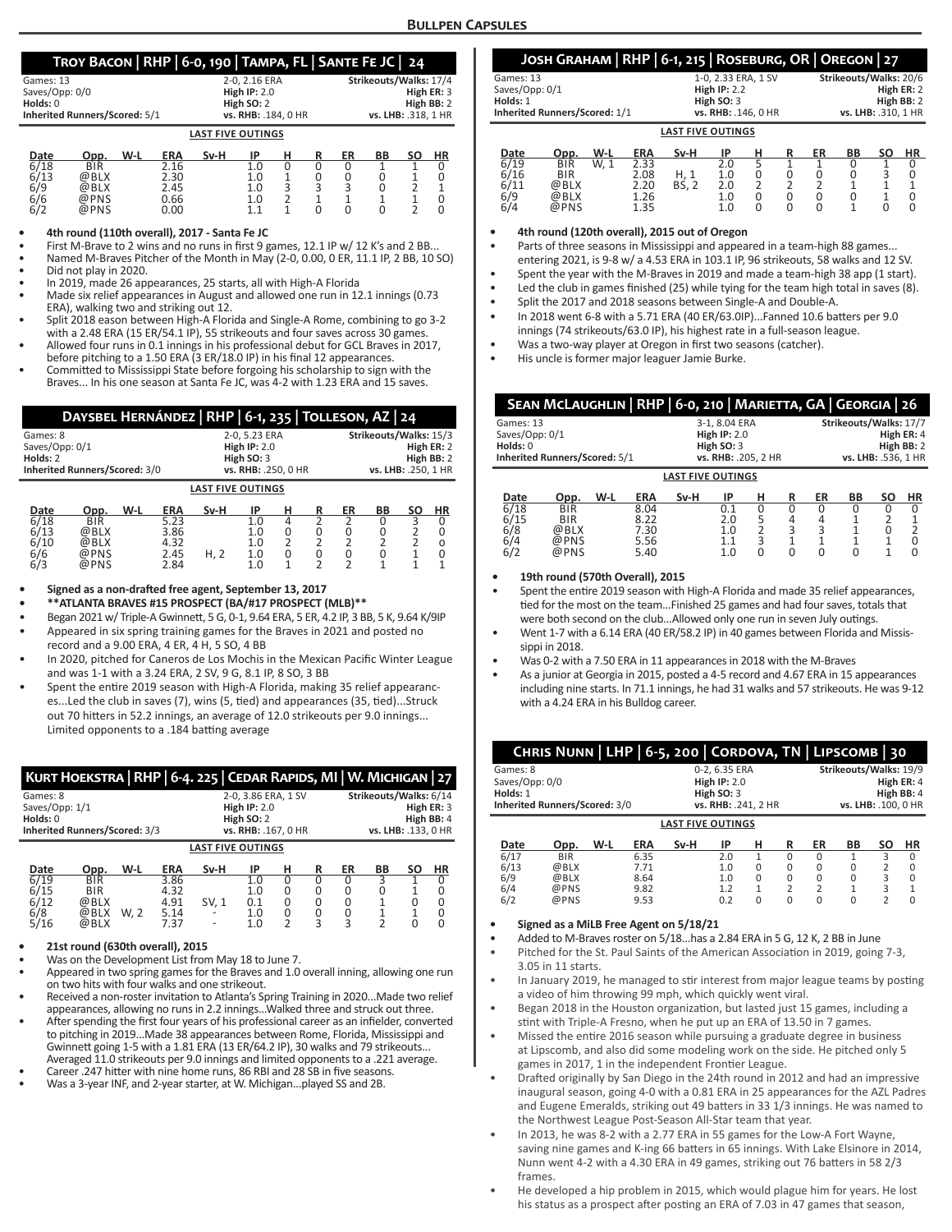# **Troy Bacon | RHP | 6-0, 190 | Tampa, FL | Sante Fe JC | 24**

|                               | $1.001$ $1.001$ $1.001$ $1.000$ $1.000$ $1.000$ $1.000$ $1.000$ $1.000$ |     |            |      |                     |   |                        |    |    |    |     |  |  |
|-------------------------------|-------------------------------------------------------------------------|-----|------------|------|---------------------|---|------------------------|----|----|----|-----|--|--|
| Games: 13                     |                                                                         |     |            |      | 2-0, 2.16 ERA       |   | Strikeouts/Walks: 17/4 |    |    |    |     |  |  |
| Saves/Opp: 0/0                |                                                                         |     |            |      | High $IP: 2.0$      |   | High ER: 3             |    |    |    |     |  |  |
| Holds: 0                      |                                                                         |     |            |      | High $SO:2$         |   | High BB: 2             |    |    |    |     |  |  |
| Inherited Runners/Scored: 5/1 |                                                                         |     |            |      | vs. RHB: .184, 0 HR |   | vs. LHB: .318, 1 HR    |    |    |    |     |  |  |
| <b>LAST FIVE OUTINGS</b>      |                                                                         |     |            |      |                     |   |                        |    |    |    |     |  |  |
| Date<br>__                    | Opp.                                                                    | W-L | <b>ERA</b> | Sv-H | ΙP                  | н |                        | ER | ВB | SΟ | HR. |  |  |

| ---- | ◡◡◡        | . | ---- | -- - - |     | . . | <br>-- | -- | -- |  |
|------|------------|---|------|--------|-----|-----|--------|----|----|--|
| 6/18 | <b>BIR</b> |   | 2.16 |        |     |     |        |    |    |  |
| 6/13 | @BLX       |   | 2.30 |        | 1.0 |     |        |    |    |  |
| 6/9  | @BLX       |   | 2.45 |        | 1.0 | ◡   |        |    |    |  |
| 6/6  | @PNS       |   | 0.66 |        | 1.0 | ے   |        |    |    |  |
| 6/2  | @PNS       |   | 0.00 |        | 11  |     |        |    |    |  |
|      |            |   |      |        |     |     |        |    |    |  |

#### **• 4th round (110th overall), 2017 - Santa Fe JC**

First M-Brave to 2 wins and no runs in first 9 games, 12.1 IP w/ 12 K's and 2 BB..

• Named M-Braves Pitcher of the Month in May (2-0, 0.00, 0 ER, 11.1 IP, 2 BB, 10 SO) • Did not play in 2020.

• In 2019, made 26 appearances, 25 starts, all with High-A Florida

- Made six relief appearances in August and allowed one run in 12.1 innings (0.73 ERA), walking two and striking out 12.
- Split 2018 eason between High-A Florida and Single-A Rome, combining to go 3-2 with a 2.48 ERA (15 ER/54.1 IP), 55 strikeouts and four saves across 30 games.
- Allowed four runs in 0.1 innings in his professional debut for GCL Braves in 2017, before pitching to a 1.50 ERA (3 ER/18.0 IP) in his final 12 appearances.
- Committed to Mississippi State before forgoing his scholarship to sign with the Braves... In his one season at Santa Fe JC, was 4-2 with 1.23 ERA and 15 saves.

|                               | DAYSBEL HERNÁNDEZ   RHP   6-1, 235   TOLLESON, AZ   24 |                     |                |      |               |                     |   |            |                        |    |           |  |  |
|-------------------------------|--------------------------------------------------------|---------------------|----------------|------|---------------|---------------------|---|------------|------------------------|----|-----------|--|--|
| Games: 8                      |                                                        |                     |                |      | 2-0, 5.23 ERA |                     |   |            | Strikeouts/Walks: 15/3 |    |           |  |  |
| Saves/Opp: 0/1                |                                                        |                     | High $IP: 2.0$ |      |               |                     |   |            | High ER: 2             |    |           |  |  |
| Holds: 2                      |                                                        | High SO: 3          |                |      |               |                     |   | High BB: 2 |                        |    |           |  |  |
|                               |                                                        |                     |                |      |               |                     |   |            |                        |    |           |  |  |
| Inherited Runners/Scored: 3/0 |                                                        | vs. RHB: .250, 0 HR |                |      |               | vs. LHB: .250, 1 HR |   |            |                        |    |           |  |  |
|                               | <b>LAST FIVE OUTINGS</b>                               |                     |                |      |               |                     |   |            |                        |    |           |  |  |
| Date                          | Opp.                                                   | W-L                 | <b>ERA</b>     | Sv-H | IP            | н                   | R | ER         | BВ                     | SΟ | <b>HR</b> |  |  |
| 6/18                          | <b>BIR</b>                                             |                     | 5.23           |      | 1.0           | 4                   |   |            | U                      |    |           |  |  |
| 6/13                          | @BLX                                                   |                     | 3.86           |      | 1.0           | 0                   | 0 | 0          | 0                      |    |           |  |  |
| 6/10                          | @BLX                                                   |                     | 4.32           |      | 1.0           |                     |   |            |                        |    | Ω         |  |  |
| 6/6                           | @PNS                                                   |                     | 2.45           | H, 2 | 1.0           | 0                   | 0 | 0          | 0                      |    |           |  |  |
|                               |                                                        |                     |                |      |               |                     |   |            |                        |    |           |  |  |
| 6/3                           | @PNS                                                   |                     | 2.84           |      | 1.0           |                     |   | っ          |                        |    |           |  |  |

**• Signed as a non-drafted free agent, September 13, 2017**

**• \*\*ATLANTA BRAVES #15 PROSPECT (BA/#17 PROSPECT (MLB)\*\***

• Began 2021 w/ Triple-A Gwinnett, 5 G, 0-1, 9.64 ERA, 5 ER, 4.2 IP, 3 BB, 5 K, 9.64 K/9IP

• Appeared in six spring training games for the Braves in 2021 and posted no record and a 9.00 ERA, 4 ER, 4 H, 5 SO, 4 BB

- In 2020, pitched for Caneros de Los Mochis in the Mexican Pacific Winter League and was 1-1 with a 3.24 ERA, 2 SV, 9 G, 8.1 IP, 8 SO, 3 BB
- Spent the entire 2019 season with High-A Florida, making 35 relief appearances...Led the club in saves (7), wins (5, tied) and appearances (35, tied)...Struck out 70 hitters in 52.2 innings, an average of 12.0 strikeouts per 9.0 innings... Limited opponents to a .184 batting average

|                                        | KURT HOEKSTRA   RHP   6-4. 225   CEDAR RAPIDS, MI   W. MICHIGAN   27 |      |                              |                                                                                 |                          |                  |   |                                                                           |           |    |           |  |
|----------------------------------------|----------------------------------------------------------------------|------|------------------------------|---------------------------------------------------------------------------------|--------------------------|------------------|---|---------------------------------------------------------------------------|-----------|----|-----------|--|
| Games: 8<br>Saves/Opp: 1/1<br>Holds: 0 | Inherited Runners/Scored: 3/3                                        |      |                              | 2-0, 3.86 ERA, 1 SV<br><b>High IP: 2.0</b><br>High SO: 2<br>vs. RHB: .167, 0 HR |                          |                  |   | Strikeouts/Walks: 6/14<br>High ER: 3<br>High BB: 4<br>vs. LHB: .133, 0 HR |           |    |           |  |
|                                        |                                                                      |      |                              | <b>LAST FIVE OUTINGS</b>                                                        |                          |                  |   |                                                                           |           |    |           |  |
| Date                                   | Opp.                                                                 | W-L  | <b>ERA</b>                   | Sv-H                                                                            | IP                       | н                | R | ER                                                                        | <b>BB</b> | SΟ | <b>HR</b> |  |
| 6/19<br>6/15<br>6/12<br>6/8            | <b>BIR</b><br><b>BIR</b><br>@BLX<br>@BLX                             | W. 2 | 3.86<br>4.32<br>4.91<br>5.14 | SV. 1                                                                           | 1.0<br>1.0<br>0.1<br>1.0 | 0<br>0<br>0<br>0 |   | 0<br>0                                                                    | ς         | U  |           |  |

#### **• 21st round (630th overall), 2015**

• Was on the Development List from May 18 to June 7.

• Appeared in two spring games for the Braves and 1.0 overall inning, allowing one run on two hits with four walks and one strikeout.

5/16 @BLX 7.37 - 1.0 2 3 3 2 0 0

- Received a non-roster invitation to Atlanta's Spring Training in 2020...Made two relief appearances, allowing no runs in 2.2 innings...Walked three and struck out three.
- After spending the first four years of his professional career as an infielder, converted to pitching in 2019...Made 38 appearances between Rome, Florida, Mississippi and Gwinnett going 1-5 with a 1.81 ERA (13 ER/64.2 IP), 30 walks and 79 strikeouts... Averaged 11.0 strikeouts per 9.0 innings and limited opponents to a .221 average.
- Career .247 hitter with nine home runs, 86 RBI and 28 SB in five seasons.
- Was a 3-year INF, and 2-year starter, at W. Michigan...played SS and 2B.

|                               | JOSH GRAHAM RHP 6-1, 215 ROSEBURG, OR OREGON 27 |                        |
|-------------------------------|-------------------------------------------------|------------------------|
| Games: 13                     | 1-0, 2.33 ERA, 1 SV                             | Strikeouts/Walks: 20/6 |
| Saves/Opp: 0/1                | High $IP: 2.2$                                  | High $ER: 2$           |
| Holds: 1                      | High $SO:3$                                     | High BB: 2             |
| Inherited Runners/Scored: 1/1 | vs. RHB: .146, 0 HR                             | vs. LHB: .310, 1 HR    |
|                               | <b>LAST FIVE OUTINGS</b>                        |                        |

| Date | Opp.       | W-L  | ERA  | Sv-H         | IP  |  | ER | <b>BB</b> | SΟ | <b>HR</b> |
|------|------------|------|------|--------------|-----|--|----|-----------|----|-----------|
| 6/19 | <b>BIR</b> | W. 1 | 2.33 |              | 2.0 |  |    |           |    |           |
| 6/16 | <b>BIR</b> |      | 2.08 | H. 1         | 1.0 |  |    |           |    |           |
| 6/11 | @BLX       |      | 2.20 | <b>BS, 2</b> | 2.0 |  |    |           |    |           |
| 6/9  | @BLX       |      | 1.26 |              | 1.0 |  |    |           |    |           |
| 6/4  | @PNS       |      | 1.35 |              | 1.0 |  |    |           |    |           |

**• 4th round (120th overall), 2015 out of Oregon**

Parts of three seasons in Mississippi and appeared in a team-high 88 games... entering 2021, is 9-8 w/ a 4.53 ERA in 103.1 IP, 96 strikeouts, 58 walks and 12 SV.

- Spent the year with the M-Braves in 2019 and made a team-high 38 app (1 start).
- Led the club in games finished (25) while tying for the team high total in saves (8).
- Split the 2017 and 2018 seasons between Single-A and Double-A.
- In 2018 went 6-8 with a 5.71 ERA (40 ER/63.0IP)...Fanned 10.6 batters per 9.0 innings (74 strikeouts/63.0 IP), his highest rate in a full-season league.
- Was a two-way player at Oregon in first two seasons (catcher).
- His uncle is former major leaguer Jamie Burke.

|                               | SEAN MCLAUGHLIN   RHP   6-0, 210   MARIETTA, GA   GEORGIA   26 |                     |            |                          |               |                     |   |    |                        |           |           |
|-------------------------------|----------------------------------------------------------------|---------------------|------------|--------------------------|---------------|---------------------|---|----|------------------------|-----------|-----------|
| Games: 13                     |                                                                |                     |            |                          | 3-1, 8.04 ERA |                     |   |    | Strikeouts/Walks: 17/7 |           |           |
| Saves/Opp: 0/1                |                                                                | <b>High IP: 2.0</b> |            |                          |               |                     |   |    | High ER: 4             |           |           |
| Holds: 0                      | High SO: 3                                                     |                     |            |                          | High BB: 2    |                     |   |    |                        |           |           |
| Inherited Runners/Scored: 5/1 |                                                                | vs. RHB: .205, 2 HR |            |                          |               | vs. LHB: .536, 1 HR |   |    |                        |           |           |
|                               |                                                                |                     |            | <b>LAST FIVE OUTINGS</b> |               |                     |   |    |                        |           |           |
| Date                          | Opp.                                                           | W-L                 | <b>ERA</b> | Sv-H                     | IP            | н                   | R | ER | BB                     | <b>SO</b> | <b>HR</b> |
| 6/18                          | <b>BIR</b>                                                     |                     | 8.04       |                          | 0.1           | 0                   |   |    |                        | 0         |           |
| 6/15                          | <b>BIR</b>                                                     |                     | 8.22       |                          | 2.0           | 5                   | 4 | 4  |                        |           |           |
| 6/8                           | @BLX                                                           |                     | 7.30       |                          | 1.0           | $\overline{2}$      | 3 | 3  |                        | 0         | 2         |
| 6/4                           | @PNS                                                           |                     | 5.56       |                          |               | 3                   |   |    |                        |           |           |

#### **• 19th round (570th Overall), 2015**

• Spent the entire 2019 season with High-A Florida and made 35 relief appearances, tied for the most on the team...Finished 25 games and had four saves, totals that were both second on the club...Allowed only one run in seven July outings.

6/2 @PNS 5.40 1.0 0 0 0 0 1 0

- Went 1-7 with a 6.14 ERA (40 ER/58.2 IP) in 40 games between Florida and Mississinni in 2018.
- Was 0-2 with a 7.50 ERA in 11 appearances in 2018 with the M-Braves
- As a junior at Georgia in 2015, posted a 4-5 record and 4.67 ERA in 15 appearances including nine starts. In 71.1 innings, he had 31 walks and 57 strikeouts. He was 9-12 with a 4.24 ERA in his Bulldog career.

|                | CHRIS NUNN   LHP   6-5, 200   CORDOVA, TN   LIPSCOMB   30 |     |            |                          |                |          |               |                      |                        |    |              |
|----------------|-----------------------------------------------------------|-----|------------|--------------------------|----------------|----------|---------------|----------------------|------------------------|----|--------------|
| Games: 8       |                                                           |     |            |                          | 0-2, 6.35 ERA  |          |               |                      | Strikeouts/Walks: 19/9 |    |              |
| Saves/Opp: 0/0 |                                                           |     |            |                          | High $IP: 2.0$ |          |               |                      |                        |    | High ER: 4   |
| Holds: 1       |                                                           |     |            |                          | High $SO:3$    |          |               |                      |                        |    | High BB: 4   |
|                | Inherited Runners/Scored: 3/0                             |     |            | vs. RHB: .241, 2 HR      |                |          |               | vs. LHB: . 100, 0 HR |                        |    |              |
|                |                                                           |     |            | <b>LAST FIVE OUTINGS</b> |                |          |               |                      |                        |    |              |
|                |                                                           |     |            |                          |                |          |               |                      |                        |    |              |
| Date           | Opp.                                                      | W-L | <b>ERA</b> | Sv-H                     | IP             | н        | R             | ER                   | BB                     | SΟ | ΗR           |
| 6/17           | <b>BIR</b>                                                |     | 6.35       |                          | 2.0            | 1        | <sup>0</sup>  | $\Omega$             | 1                      | ς  |              |
| 6/13           | @BLX                                                      |     | 7.71       |                          | 1.0            | $\Omega$ | $\Omega$      | $\Omega$             | 0                      | 2  | <sup>0</sup> |
| 6/9            | @BLX                                                      |     | 8.64       |                          | 1.0            | $\Omega$ | $\Omega$      | $\Omega$             | 0                      | 3  | <sup>0</sup> |
| 6/4            | @PNS                                                      |     | 9.82       |                          | 1.2            | 1        | $\mathcal{P}$ | $\mathfrak{p}$       |                        | 3  |              |
| 6/2            | @PNS                                                      |     | 9.53       |                          | 0.2            | $\Omega$ | U             | $\Omega$             | O                      |    |              |

### **• Signed as a MiLB Free Agent on 5/18/21**

- Added to M-Braves roster on 5/18...has a 2.84 ERA in 5 G, 12 K, 2 BB in June
- Pitched for the St. Paul Saints of the American Association in 2019, going 7-3, 3.05 in 11 starts.
- In January 2019, he managed to stir interest from major league teams by posting a video of him throwing 99 mph, which quickly went viral.
- Began 2018 in the Houston organization, but lasted just 15 games, including a stint with Triple-A Fresno, when he put up an ERA of 13.50 in 7 games.
- Missed the entire 2016 season while pursuing a graduate degree in business at Lipscomb, and also did some modeling work on the side. He pitched only 5 games in 2017, 1 in the independent Frontier League.
- Drafted originally by San Diego in the 24th round in 2012 and had an impressive inaugural season, going 4-0 with a 0.81 ERA in 25 appearances for the AZL Padres and Eugene Emeralds, striking out 49 batters in 33 1/3 innings. He was named to the Northwest League Post-Season All-Star team that year.
- In 2013, he was 8-2 with a 2.77 ERA in 55 games for the Low-A Fort Wayne, saving nine games and K-ing 66 batters in 65 innings. With Lake Elsinore in 2014, Nunn went 4-2 with a 4.30 ERA in 49 games, striking out 76 batters in 58 2/3 frames.
- He developed a hip problem in 2015, which would plague him for years. He lost his status as a prospect after posting an ERA of 7.03 in 47 games that season,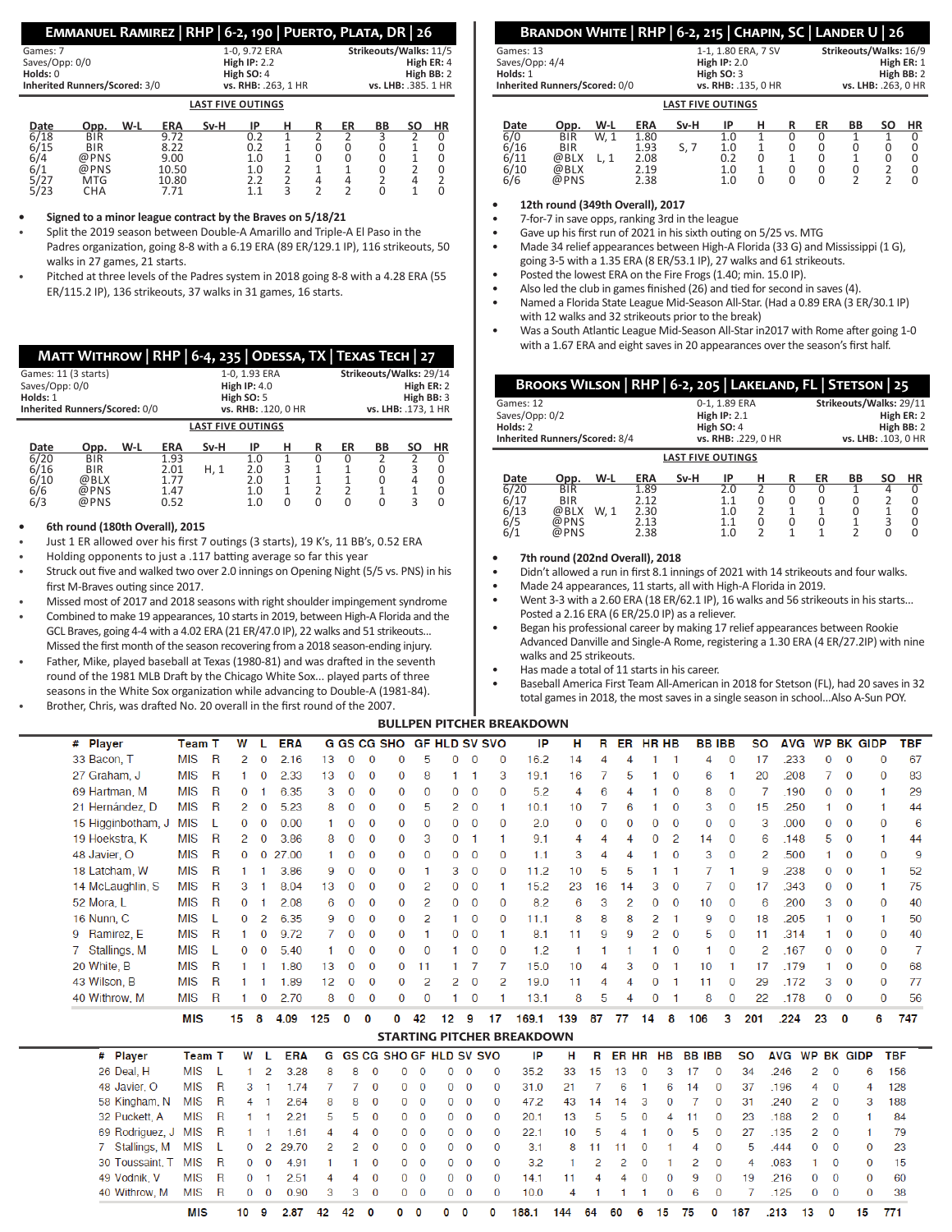| EMMANUEL RAMIREZ   RHP   6-2, 190   PUERTO, PLATA, DR   26 |  |  |  |
|------------------------------------------------------------|--|--|--|
|------------------------------------------------------------|--|--|--|

| Games: 7                      |      |            | 1-0, 9.72 ERA |                          | Strikeouts/Walks: 11/5 |   |    |                     |    |           |  |  |  |
|-------------------------------|------|------------|---------------|--------------------------|------------------------|---|----|---------------------|----|-----------|--|--|--|
| Saves/Opp: 0/0                |      |            |               | High $IP: 2.2$           |                        |   |    | High ER: 4          |    |           |  |  |  |
| Holds: 0                      |      |            |               |                          | High SO: 4             |   |    | High BB: 2          |    |           |  |  |  |
| Inherited Runners/Scored: 3/0 |      |            |               | vs. RHB: .263, 1 HR      |                        |   |    | vs. LHB: .385. 1 HR |    |           |  |  |  |
|                               |      |            |               | <b>LAST FIVE OUTINGS</b> |                        |   |    |                     |    |           |  |  |  |
| Date                          | Opp. | <b>ERA</b> | Sv-H          | ΙP                       | н                      | R | ER | ВB                  | SΟ | <b>HR</b> |  |  |  |
| 6/18                          | BIR  | 9.72       |               | በ ን                      |                        |   |    |                     |    |           |  |  |  |

| 6/18 | BIR        | 9.72  | ◡.∠ |  |  |  |
|------|------------|-------|-----|--|--|--|
| 6/15 | <b>BIR</b> | 8.22  | 0.2 |  |  |  |
| 6/4  | @PNS       | 9.00  | 1.0 |  |  |  |
|      | @PNS       | 10.50 | 1.0 |  |  |  |
| 5/27 | MTG        | 10.80 |     |  |  |  |
| 5/23 | СНА        | 7.71  |     |  |  |  |
|      |            |       |     |  |  |  |

**• Signed to a minor league contract by the Braves on 5/18/21**

- Split the 2019 season between Double-A Amarillo and Triple-A El Paso in the Padres organization, going 8-8 with a 6.19 ERA (89 ER/129.1 IP), 116 strikeouts, 50 walks in 27 games, 21 starts.
- Pitched at three levels of the Padres system in 2018 going 8-8 with a 4.28 ERA (55 ER/115.2 IP), 136 strikeouts, 37 walks in 31 games, 16 starts.

|                                                    | МАТТ WITHROW   RHP   6-4, 235   ODESSA, TX   ТЕХАЅ ТЕСН   27 |     |                                      |                                                                        |                          |                    |               |                                                                            |    |        |             |  |
|----------------------------------------------------|--------------------------------------------------------------|-----|--------------------------------------|------------------------------------------------------------------------|--------------------------|--------------------|---------------|----------------------------------------------------------------------------|----|--------|-------------|--|
| Games: 11 (3 starts)<br>Saves/Opp: 0/0<br>Holds: 1 | Inherited Runners/Scored: 0/0                                |     |                                      | 1-0, 1.93 ERA<br>High $IP: 4.0$<br>High $SO: 5$<br>vs. RHB: .120, 0 HR |                          |                    |               | Strikeouts/Walks: 29/14<br>High ER: 2<br>High BB: 3<br>vs. LHB: .173, 1 HR |    |        |             |  |
|                                                    | <b>LAST FIVE OUTINGS</b>                                     |     |                                      |                                                                        |                          |                    |               |                                                                            |    |        |             |  |
| Date                                               | Opp.                                                         | W-L | <b>ERA</b>                           | Sv-H                                                                   | IP                       | н                  | R             | ER                                                                         | BB | SΟ     | <b>HR</b>   |  |
| 6/20<br>6/16<br>6/10<br>6/6<br>6/3                 | <b>BIR</b><br><b>BIR</b><br>@BLX<br>@PNS<br>@PNS             |     | 1.93<br>2.01<br>1.77<br>1.47<br>0.52 | H, 1                                                                   | 1.0<br>2.0<br>2.0<br>1.0 | 3<br>1<br>$\Omega$ | $\Omega$<br>2 | 0<br>2<br>O                                                                | 0  | 3<br>3 | 0<br>0<br>0 |  |

# **• 6th round (180th Overall), 2015**

- Just 1 ER allowed over his first 7 outings (3 starts), 19 K's, 11 BB's, 0.52 ERA
- Holding opponents to just a .117 batting average so far this year
- Struck out five and walked two over 2.0 innings on Opening Night (5/5 vs. PNS) in his first M-Braves outing since 2017.
- Missed most of 2017 and 2018 seasons with right shoulder impingement syndrome
- Combined to make 19 appearances, 10 starts in 2019, between High-A Florida and the GCL Braves, going 4-4 with a 4.02 ERA (21 ER/47.0 IP), 22 walks and 51 strikeouts... Missed the first month of the season recovering from a 2018 season-ending injury.
- Father, Mike, played baseball at Texas (1980-81) and was drafted in the seventh round of the 1981 MLB Draft by the Chicago White Sox... played parts of three seasons in the White Sox organization while advancing to Double-A (1981-84).
- Brother, Chris, was drafted No. 20 overall in the first round of the 2007.

**MIS** 

10

2.87 42 42  $\mathbf 0$   $\mathbf{0}$  $\mathbf{0}$  $\mathbf{0}$ 

# **Brandon White | RHP | 6-2, 215 | Chapin, SC | Lander U | 26**

| Games: 13                     |      |            |      | 1-1, 1.80 ERA, 7 SV |                |  |    |             | Strikeouts/Walks: 16/9 |    |            |  |  |
|-------------------------------|------|------------|------|---------------------|----------------|--|----|-------------|------------------------|----|------------|--|--|
| Saves/Opp: 4/4                |      |            |      |                     | High $IP: 2.0$ |  |    |             |                        |    | High ER: 1 |  |  |
| Holds: 1                      |      |            |      |                     | High $SO:3$    |  |    | High $BB:2$ |                        |    |            |  |  |
| Inherited Runners/Scored: 0/0 |      |            |      | vs. RHB: .135, 0 HR |                |  |    |             | vs. LHB: .263, 0 HR    |    |            |  |  |
| <b>LAST FIVE OUTINGS</b>      |      |            |      |                     |                |  |    |             |                        |    |            |  |  |
| Date                          | Opp. | <b>ERA</b> | Sv-H | IP                  |                |  | ER | BB          | <b>SO</b>              | ΗR |            |  |  |

| 6/0  | <b>BIR</b> | W. | 1.80 |     | 1 N            |  |  |  |
|------|------------|----|------|-----|----------------|--|--|--|
| 6/16 | <b>BIR</b> |    | 1.93 | ، . | 1.0            |  |  |  |
| 6/11 | @BLX       |    | 2.08 |     | 0.2            |  |  |  |
| 6/10 | @BLX       |    | 2.19 |     | 1.0            |  |  |  |
| 6/6  | @PNS       |    | 2.38 |     | 1 <sub>0</sub> |  |  |  |
|      |            |    |      |     |                |  |  |  |

**• 12th round (349th Overall), 2017**

- 7-for-7 in save opps, ranking 3rd in the league
- Gave up his first run of 2021 in his sixth outing on 5/25 vs. MTG
- Made 34 relief appearances between High-A Florida (33 G) and Mississippi (1 G), going 3-5 with a 1.35 ERA (8 ER/53.1 IP), 27 walks and 61 strikeouts.
- Posted the lowest ERA on the Fire Frogs (1.40; min. 15.0 IP).
- Also led the club in games finished (26) and tied for second in saves (4).
- Named a Florida State League Mid-Season All-Star. (Had a 0.89 ERA (3 ER/30.1 IP) with 12 walks and 32 strikeouts prior to the break)
- Was a South Atlantic League Mid-Season All-Star in2017 with Rome after going 1-0 with a 1.67 ERA and eight saves in 20 appearances over the season's first half.

| BROOKS WILSON   RHP   6-2, 205   LAKELAND, FL   STETSON   25 |                     |                |               |                      |    |                         |        |  |  |  |
|--------------------------------------------------------------|---------------------|----------------|---------------|----------------------|----|-------------------------|--------|--|--|--|
| Games: 12                                                    |                     |                | 0-1, 1.89 ERA |                      |    | Strikeouts/Walks: 29/11 |        |  |  |  |
| Saves/Opp: 0/2                                               |                     | High $IP: 2.1$ |               |                      |    | High ER: 2              |        |  |  |  |
| Holds: 2                                                     |                     | High $SO:4$    |               |                      |    | High BB: 2              |        |  |  |  |
| Inherited Runners/Scored: 8/4                                | vs. RHB: .229, 0 HR |                |               | vs. LHB: . 103, 0 HR |    |                         |        |  |  |  |
| <b>LAST FIVE OUTINGS</b>                                     |                     |                |               |                      |    |                         |        |  |  |  |
| .                                                            | <br>---             | .              | $\sim$<br>    | -                    | -- | --                      | $\sim$ |  |  |  |

| Date | Opp.       | W-L  | <b>ERA</b> | Sv-H | IP  |  | ER | BВ | SΟ | ΗR |
|------|------------|------|------------|------|-----|--|----|----|----|----|
| 6/20 | BIR        |      | 1.89       |      |     |  |    |    |    |    |
| 6/17 | <b>BIR</b> |      | 7.12       |      |     |  |    |    |    |    |
| 6/13 | @BLX       | W. 1 | 2.30       |      | 1.0 |  |    |    |    |    |
| 6/5  | @PNS       |      | 2.13       |      |     |  |    |    |    |    |
| 6/1  | @PNS       |      | 2.38       |      | 1.0 |  |    |    |    |    |

#### **• 7th round (202nd Overall), 2018**

- Didn't allowed a run in first 8.1 innings of 2021 with 14 strikeouts and four walks.
- Made 24 appearances, 11 starts, all with High-A Florida in 2019.
- Went 3-3 with a 2.60 ERA (18 ER/62.1 IP), 16 walks and 56 strikeouts in his starts... Posted a 2.16 ERA (6 ER/25.0 IP) as a reliever.
- Began his professional career by making 17 relief appearances between Rookie Advanced Danville and Single-A Rome, registering a 1.30 ERA (4 ER/27.2IP) with nine walks and 25 strikeouts.
- Has made a total of 11 starts in his career.
- Baseball America First Team All-American in 2018 for Stetson (FL), had 20 saves in 32 total games in 2018, the most saves in a single season in school...Also A-Sun POY.

# **bullpen pitcher breakdown**

| # Player                    |                    | <b>Team T</b> |              | W  |                | <b>ERA</b> |     |             |              | <b>G GS CG SHO</b> |              | <b>GF HLD SV SVO</b>           |              |              | IP                                | н              | R        |    | ER HR HB     |              | <b>BBIBB</b>   |              | <b>SO</b> |            |                             |                | AVG WP BK GIDP | <b>TBF</b> |
|-----------------------------|--------------------|---------------|--------------|----|----------------|------------|-----|-------------|--------------|--------------------|--------------|--------------------------------|--------------|--------------|-----------------------------------|----------------|----------|----|--------------|--------------|----------------|--------------|-----------|------------|-----------------------------|----------------|----------------|------------|
| 33 Bacon, T                 |                    | <b>MIS</b>    | $\mathsf{R}$ | 2  | 0              | 2.16       | 13  | 0           | $\Omega$     | $\Omega$           | 5            | 0                              | $\mathbf 0$  | 0            | 16.2                              | 14             | 4        | 4  |              |              | 4              | $\mathbf 0$  | 17        | .233       | 0                           | $\mathbf 0$    | 0              | 67         |
| 27 Graham, J                |                    | <b>MIS</b>    | R            |    | 0              | 2.33       | 13  | $\mathbf 0$ | $\mathbf{0}$ | $\Omega$           | 8            | 1                              |              | 3            | 19.1                              | 16             |          | 5  |              | $\bf{0}$     | 6              |              | 20        | .208       | 7                           | $\mathbf{0}$   | $\Omega$       | 83         |
| 69 Hartman, M               |                    | <b>MIS</b>    | R            | 0  |                | 6.35       | 3   | 0           | 0            | $\Omega$           | 0            | 0                              | 0            | $\bf{0}$     | 5.2                               | 4              | 6        | 4  |              | $\bf{0}$     | 8              | 0            | -7        | .190       | 0                           | 0              |                | 29         |
| 21 Hernández, D             |                    | <b>MIS</b>    | R            | 2  | $\bf{0}$       | 5.23       | 8   | 0           | $\mathbf 0$  | $\mathbf{0}$       | 5            | 2                              | $\mathbf{0}$ | 1            | 10.1                              | 10             | 7        | 6  |              | $\mathbf{0}$ | 3              | $\bf{0}$     | 15        | .250       | 1                           | $\bf{0}$       |                | 44         |
|                             | 15 Higginbotham, J | <b>MIS</b>    | L            | 0  | 0              | 0.00       |     | 0           | 0            | $\Omega$           | 0            | 0                              | $\mathbf 0$  | $\Omega$     | 2.0                               | 0              | $\Omega$ | 0  | $\Omega$     | $\bf{0}$     | 0              | $\bf{0}$     | 3         | .000       | 0                           | 0              | $\Omega$       | 6          |
| 19 Hoekstra, K              |                    | <b>MIS</b>    | R            | 2  | $\bf{0}$       | 3.86       | 8   | 0           | $\Omega$     | $\Omega$           | 3            | 0                              | -1           | 1            | 9.1                               | $\overline{4}$ | 4        | 4  | $\Omega$     | 2            | 14             | $\Omega$     | 6         | .148       | 5                           | $\mathbf{0}$   |                | 44         |
| 48 Javier, O                |                    | <b>MIS</b>    | R            | 0  | $\Omega$       | 27.00      |     | 0           | $\mathbf{0}$ | $\bf{0}$           | 0            | 0                              | $\mathbf 0$  | $\bf{0}$     | 1.1                               | 3              | 4        | 4  |              | $\bf{0}$     | 3              | $\bf{0}$     | 2         | .500       |                             | $\bf{0}$       | $\Omega$       | 9          |
| 18 Latcham, W               |                    | <b>MIS</b>    | R            |    |                | 3.86       | 9   | 0           | 0            | $\Omega$           |              | 3                              | 0            | $\mathbf{0}$ | 11.2                              | 10             | 5        | 5  |              |              |                |              | 9         | 238        | 0                           | $\bf{0}$       |                | 52         |
| 14 McLaughlin, S            |                    | <b>MIS</b>    | $\mathsf{R}$ | 3  |                | 8.04       | 13  | 0           | $\mathbf{0}$ | $\mathbf{0}$       | 2            | 0                              | $\mathbf 0$  | 1            | 15.2                              | 23             | 16       | 14 | 3            | $\mathbf 0$  |                | $\bf{0}$     | 17        | .343       | 0                           | $\mathbf 0$    |                | 75         |
| 52 Mora, L                  |                    | <b>MIS</b>    | R            | 0  |                | 2.08       | 6   | 0           | 0            | $\Omega$           | 2            | 0                              | $\mathbf 0$  | $\bf{0}$     | 8.2                               | 6              | 3        | 2  | 0            | 0            | 10             | $\bf{0}$     | 6         | .200       | 3                           | 0              | 0              | 40         |
| 16 Nunn, C                  |                    | <b>MIS</b>    | Τ.           | 0  | 2              | 6.35       | 9   | 0           | $\Omega$     | $\Omega$           | 2            |                                | 0            | $\Omega$     | 11.1                              | 8              | 8        | 8  | 2            |              | 9              | 0            | 18        | .205       |                             | 0              |                | 50         |
| 9 Ramirez, E                |                    | <b>MIS</b>    | R            |    | 0              | 9.72       |     | 0           | $\bf{0}$     | 0                  |              | 0                              | $\mathbf 0$  | 1            | 8.1                               | 11             | 9        | 9  | 2            | $\mathbf{0}$ | 5              | $\bf{0}$     | 11        | .314       |                             | 0              | 0              | 40         |
| Stallings, M<br>$7^{\circ}$ |                    | <b>MIS</b>    | Τ.           | 0  | $\mathbf{0}$   | 5.40       |     | 0           | $\Omega$     | $\Omega$           | $\Omega$     |                                | $\mathbf 0$  | $\Omega$     | 1.2                               | 1              |          |    |              | $\Omega$     |                | $\Omega$     | 2         | .167       | 0                           | $\Omega$       | 0              | 7          |
| 20 White, B                 |                    | <b>MIS</b>    | R            |    |                | 1.80       | 13  | 0           | $\Omega$     | $\Omega$           | 11           |                                | 7            | 7            | 15.0                              | 10             | 4        | 3  | 0            |              | 10             |              | 17        | .179       |                             | $\mathbf{0}$   | $\Omega$       | 68         |
| 43 Wilson, B                |                    | <b>MIS</b>    | R            |    |                | 1.89       | 12  | 0           | 0            | $\Omega$           | 2            | 2                              | 0            | 2            | 19.0                              | 11             | 4        | 4  | 0            |              | 11             | 0            | 29        | .172       | 3                           | 0              | 0              | 77         |
| 40 Withrow, M               |                    | <b>MIS</b>    | $\mathsf{R}$ |    | 0              | 2.70       | 8   | 0           | $\mathbf 0$  | $\Omega$           | $\Omega$     |                                | $\Omega$     |              | 13.1                              | 8              | 5        | 4  | 0            |              | 8              | $\Omega$     | 22        | .178       | 0                           | 0              | $\Omega$       | 56         |
|                             |                    | <b>MIS</b>    |              | 15 | 8              | 4.09       | 125 | 0           | 0            | 0                  | 42           | 12                             | 9            | 17           | 169.1                             | 139            | 87       | 77 | 14           | 8            | 106            | 3            | 201       | .224       | 23                          | $\mathbf 0$    | 6              | 747        |
|                             |                    |               |              |    |                |            |     |             |              |                    |              |                                |              |              | <b>STARTING PITCHER BREAKDOWN</b> |                |          |    |              |              |                |              |           |            |                             |                |                |            |
|                             | # Player           | <b>Team T</b> |              | W  |                | <b>ERA</b> | G   |             |              |                    |              | <b>GS CG SHO GF HLD SV SVO</b> |              |              | IP                                | н              | R        | ER | <b>HR</b>    | <b>HB</b>    | <b>BB IBB</b>  |              | <b>SO</b> | <b>AVG</b> | <b>WP</b>                   | <b>BK GIDP</b> |                | <b>TBF</b> |
|                             | 26 Deal, H         | <b>MIS</b>    | -L           | 1  | $\overline{2}$ | 3.28       | 8   | 8           | $\mathbf{O}$ | $\Omega$           | 0            | 0                              | $\mathbf{0}$ | 0            | 35.2                              | 33             | 15       | 13 | $\mathbf 0$  | 3            | 17<br>$\Omega$ |              | 34        | .246       | 2<br>$\bf{0}$               |                | 6              | 156        |
|                             | 48 Javier, O       | <b>MIS</b>    | R            | 3  |                | 1.74       | 7   |             | $\Omega$     | $\Omega$           | $\mathbf 0$  | 0                              | $\mathbf 0$  | $\Omega$     | 31.0                              | 21             |          | 6  |              | 6            | 14             | $\mathbf 0$  | 37        | .196       | $\Omega$<br>4               |                | 4              | 128        |
|                             | 58 Kingham, N      | <b>MIS</b>    | $\mathsf{R}$ | 4  |                | 2.64       | 8   | 8           | $\Omega$     | $\Omega$           | $\mathbf 0$  | $\Omega$                       | $\bf{0}$     | $\Omega$     | 47.2                              | 43             | 14       | 14 | 3            | $\Omega$     |                | $\Omega$     | 31        | .240       | 2<br>$\Omega$               |                | з              | 188        |
|                             | 32 Puckett, A      | <b>MIS</b>    | $\mathsf{R}$ |    |                | 2.21       | 5   | 5           | $\mathbf{0}$ | $\Omega$           | $\mathbf{0}$ | $\Omega$                       | $\bf{0}$     | 0            | 20.1                              | 13             | 5        | 5  | $\mathbf{0}$ | 4            | 11             | 0            | 23        | .188       | 2<br>$\mathbf{0}$           |                |                | 84         |
|                             | 69 Rodriguez, J    | <b>MIS</b>    | R            |    |                | 1.61       | 4   | 4           | $\mathbf{O}$ | 0                  | $\mathbf{0}$ | 0                              | $\mathbf{0}$ | 0            | 22.1                              | 10             | 5        | 4  |              | 0            | 5              | 0            | 27        | .135       | 2<br>$\bf{0}$               |                |                | 79         |
| 7.                          | Stallings, M       | <b>MIS</b>    |              | 0  | 2              | 29.70      | 2   | 2           | $\Omega$     | $\Omega$           | $\mathbf 0$  | 0                              | $\mathbf{0}$ | $\Omega$     | 3.1                               | 8              | 11       | 11 | $\Omega$     |              | 4              | 0            | 5         | .444       | $\mathbf{0}$<br>$\mathbf 0$ |                | $\Omega$       | 23         |
|                             | 30 Toussaint, T    | <b>MIS</b>    | R            | 0  | $\Omega$       | 4.91       |     |             | $\Omega$     | $\Omega$           | $\mathbf 0$  | $\Omega$                       | $\bf{0}$     | $\Omega$     | 3.2                               |                | 2        | 2  | $\Omega$     |              | 2              | $\mathbf 0$  | 4         | .083       | $\Omega$                    |                | $\Omega$       | 15         |
|                             | 49 Vodnik, V       | <b>MIS</b>    | $\mathsf{R}$ | 0  |                | 2.51       | Δ   |             | $\Omega$     | $\Omega$           | $\mathbf{0}$ | $\Omega$                       | $\mathbf{0}$ | O            | 14.1                              | 11             | Δ        | 4  | $\Omega$     | $\Omega$     | 9              | $\mathbf{0}$ | 19        | .216       | $\Omega$<br>$\Omega$        |                | $\Omega$       | 60         |
|                             | 40 Withrow, M      | <b>MIS</b>    | R            | 0  | $\bf{0}$       | 0.90       | 3   | 3           | $\mathbf{0}$ | $\Omega$           | $\mathbf{0}$ | $\Omega$                       | $\mathbf{0}$ | $\Omega$     | 10.0                              | 4              |          |    |              | 0            | 6              | $\Omega$     | 7         | .125       | 0<br>$\Omega$               |                | $\Omega$       | 38         |

188.1

60

75

15

187

0

 $.213$ 

13  $\mathbf 0$  15 771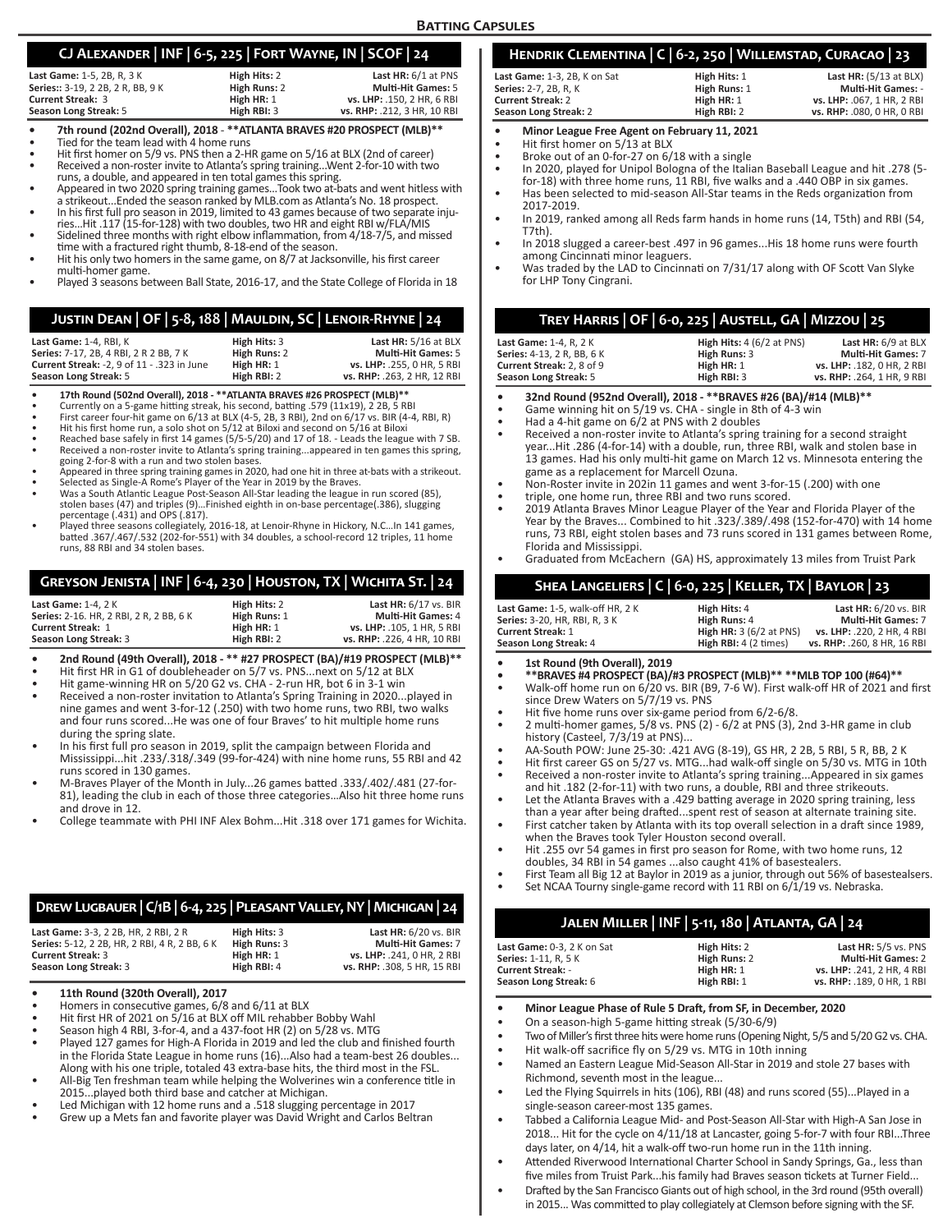# **CJ Alexander | INF | 6-5, 225 | Fort Wayne, IN | SCOF | 24**

| High Hits: 2 | Last HR: $6/1$ at PNS       |
|--------------|-----------------------------|
| High Runs: 2 | <b>Multi-Hit Games: 5</b>   |
| High HR: 1   | vs. LHP: .150, 2 HR, 6 RBI  |
| High RBI: 3  | vs. RHP: .212, 3 HR, 10 RBI |
|              |                             |

- 
- 

7th round (202nd Overall), 2018 - \*\*ATLANTA BRAVES #20 PROSPECT (MLB)\*\*<br>Tied for the team lead with 4 home runs<br>Hit first homer on 5/9 vs. PNS then a 2-HR game on 5/16 at BLX (2nd of career)<br>Received a non-roster invite to

- 
- Appeared in two 2020 spring training games...Took two at-bats and went hitless with a strikeout...Ended the season ranked by MLB.com as Atlanta's No. 18 prospect.
- In his first full pro season in 2019, limited to 43 games because of two separate inju-<br>ries...Hit .117 (15-for-128) with two doubles, two HR and eight RBI w/FLA/MIS<br>Sidelined three months with right elbow inflammation, fr
- 
- Hit his only two homers in the same game, on 8/7 at Jacksonville, his first career<br>multi-homer game.
- Played 3 seasons between Ball State, 2016-17, and the State College of Florida in 18

# **Justin Dean | OF | 5-8, 188 | Mauldin, SC | Lenoir-Rhyne | 24**

| <b>Last Game:</b> 1-4. RBI. K                 | High Hits: 3 | Last HR: 5/16 at BLX        |
|-----------------------------------------------|--------------|-----------------------------|
| <b>Series:</b> 7-17. 2B. 4 RBI. 2 R 2 BB. 7 K | High Runs: 2 | <b>Multi-Hit Games: 5</b>   |
| Current Streak: -2, 9 of 11 - .323 in June    | High HR: 1   | vs. LHP: .255. 0 HR. 5 RBI  |
| Season Long Streak: 5                         | High RBI: 2  | vs. RHP: .263. 2 HR. 12 RBI |

- **• 17th Round (502nd Overall), 2018 \*\*ATLANTA BRAVES #26 PROSPECT (MLB)\*\***
- Currently on a 5-game hitting streak, his second, batting .579 (11x19), 2 2B, 5 RBI
- First career four-hit game on 6/13 at BLX (4-5, 2B, 3 RBI), 2nd on 6/17 vs. BIR (4-4, RBI, R) Hit his first home run, a solo shot on 5/12 at Biloxi and second on 5/16 at Biloxi
- Reached base safely in first 14 games (5/5-5/20) and 17 of 18. Leads the league with 7 SB.
- Received a non-roster invite to Atlanta's spring training...appeared in ten games this spring, going 2-for-8 with a run and two stolen bases.
- Appeared in three spring training games in 2020, had one hit in three at-bats with a strikeout.
- Selected as Single-A Rome's Player of the Year in 2019 by the Braves. Was a South Atlantic League Post-Season All-Star leading the league in run scored (85),
- stolen bases (47) and triples (9)…Finished eighth in on-base percentage(.386), slugging
- percentage (.431) and OPS (.817). Played three seasons collegiately, 2016-18, at Lenoir-Rhyne in Hickory, N.C…In 141 games, batted .367/.467/.532 (202-for-551) with 34 doubles, a school-record 12 triples, 11 home runs, 88 RBI and 34 stolen bases.

# **Greyson Jenista | INF | 6-4, 230 | Houston, TX | Wichita St. | 24**

| <b>Last Game: 1-4, 2 K</b>                     | High Hits: 2 | Last $HR: 6/17$ vs. BIR     |
|------------------------------------------------|--------------|-----------------------------|
| <b>Series: 2-16. HR. 2 RBI. 2 R. 2 BB. 6 K</b> | High Runs: 1 | <b>Multi-Hit Games: 4</b>   |
| <b>Current Streak: 1</b>                       | High HR: 1   | vs. LHP: .105. 1 HR. 5 RBI  |
| Season Long Streak: 3                          | High RBI: 2  | vs. RHP: .226. 4 HR. 10 RBI |

- **• 2nd Round (49th Overall), 2018 \*\* #27 PROSPECT (BA)/#19 PROSPECT (MLB)\*\***
- Hit first HR in G1 of doubleheader on 5/7 vs. PNS...next on 5/12 at BLX
- Hit game-winning HR on 5/20 G2 vs. CHA 2-run HR, bot 6 in 3-1 win
- Received a non-roster invitation to Atlanta's Spring Training in 2020...played in nine games and went 3-for-12 (.250) with two home runs, two RBI, two walks and four runs scored...He was one of four Braves' to hit multiple home runs during the spring slate.
- In his first full pro season in 2019, split the campaign between Florida and Mississippi...hit .233/.318/.349 (99-for-424) with nine home runs, 55 RBI and 42 runs scored in 130 games.
- M-Braves Player of the Month in July...26 games batted .333/.402/.481 (27-for-81), leading the club in each of those three categories…Also hit three home runs and drove in 12.
- College teammate with PHI INF Alex Bohm...Hit .318 over 171 games for Wichita.

# **Drew Lugbauer | C/1B | 6-4, 225 | Pleasant Valley, NY | Michigan | 24**

| Last Game: 3-3, 2 2B, HR, 2 RBI, 2 R          | High Hits: 3 | Last $HR: 6/20$ vs. BIR     |
|-----------------------------------------------|--------------|-----------------------------|
| Series: 5-12, 2 2B, HR, 2 RBI, 4 R, 2 BB, 6 K | High Runs: 3 | <b>Multi-Hit Games: 7</b>   |
| <b>Current Streak: 3</b>                      | High HR: 1   | vs. LHP: .241, 0 HR, 2 RBI  |
| Season Long Streak: 3                         | High RBI: 4  | vs. RHP: .308. 5 HR. 15 RBI |

- **• 11th Round (320th Overall), 2017**
- Homers in consecutive games, 6/8 and 6/11 at BLX
- Hit first HR of 2021 on 5/16 at BLX off MIL rehabber Bobby Wahl
- Season high 4 RBI, 3-for-4, and a 437-foot HR (2) on 5/28 vs. MTG
- Played 127 games for High-A Florida in 2019 and led the club and finished fourth in the Florida State League in home runs (16)...Also had a team-best 26 doubles... Along with his one triple, totaled 43 extra-base hits, the third most in the FSL.
- All-Big Ten freshman team while helping the Wolverines win a conference title in 2015...played both third base and catcher at Michigan.
- Led Michigan with 12 home runs and a .518 slugging percentage in 2017
- Grew up a Mets fan and favorite player was David Wright and Carlos Beltran

# **Hendrik Clementina | C | 6-2, 250 | Willemstad, Curacao | 23**

| <b>Last Game:</b> 1-3. 2B. K on Sat | High Hits: 1 | <b>Last HR:</b> $(5/13$ at BLX) |
|-------------------------------------|--------------|---------------------------------|
| <b>Series:</b> 2-7. 2B. R. K        | High Runs: 1 | <b>Multi-Hit Games: -</b>       |
| <b>Current Streak: 2</b>            | High HR: 1   | vs. LHP: .067. 1 HR. 2 RBI      |
| Season Long Streak: 2               | High RBI: 2  | vs. RHP: .080. 0 HR. 0 RBI      |
|                                     |              |                                 |

- **• Minor League Free Agent on February 11, 2021**
- Hit first homer on 5/13 at BLX
- Broke out of an 0-for-27 on 6/18 with a single
- In 2020, played for Unipol Bologna of the Italian Baseball League and hit .278 (5 for-18) with three home runs, 11 RBI, five walks and a .440 OBP in six games.
- Has been selected to mid-season All-Star teams in the Reds organization from 2017-2019.
- In 2019, ranked among all Reds farm hands in home runs (14, T5th) and RBI (54, T7th).
- In 2018 slugged a career-best .497 in 96 games...His 18 home runs were fourth among Cincinnati minor leaguers.
- Was traded by the LAD to Cincinnati on 7/31/17 along with OF Scott Van Slyke for LHP Tony Cingrani.

# **Trey Harris | OF | 6-0, 225 | Austell, GA | Mizzou | 25**

| <b>Last Game: 1-4. R. 2 K</b> | <b>High Hits:</b> $4(6/2$ at PNS) | Last HR: $6/9$ at BLX      |
|-------------------------------|-----------------------------------|----------------------------|
| Series: 4-13, 2 R, BB, 6 K    | High Runs: 3                      | <b>Multi-Hit Games: 7</b>  |
| Current Streak: 2.8 of 9      | High HR: 1                        | vs. LHP: .182. 0 HR. 2 RBI |
| Season Long Streak: 5         | High RBI: 3                       | vs. RHP: .264. 1 HR. 9 RBI |

- **• 32nd Round (952nd Overall), 2018 \*\*BRAVES #26 (BA)/#14 (MLB)\*\***
- Game winning hit on 5/19 vs. CHA single in 8th of 4-3 win
- Had a 4-hit game on 6/2 at PNS with 2 doubles
- Received a non-roster invite to Atlanta's spring training for a second straight year...Hit .286 (4-for-14) with a double, run, three RBI, walk and stolen base in 13 games. Had his only multi-hit game on March 12 vs. Minnesota entering the game as a replacement for Marcell Ozuna.
- Non-Roster invite in 202in 11 games and went 3-for-15 (.200) with one
- triple, one home run, three RBI and two runs scored.
- 2019 Atlanta Braves Minor League Player of the Year and Florida Player of the Year by the Braves... Combined to hit .323/.389/.498 (152-for-470) with 14 home runs, 73 RBI, eight stolen bases and 73 runs scored in 131 games between Rome, Florida and Mississippi.
- Graduated from McEachern (GA) HS, approximately 13 miles from Truist Park

# **Shea Langeliers | C | 6-0, 225 | Keller, TX | Baylor | 23**

| Last Game: 1-5, walk-off HR, 2 K | High Hits: 4                     | Last $HR: 6/20$ vs. BIR     |
|----------------------------------|----------------------------------|-----------------------------|
| Series: 3-20, HR, RBI, R, 3 K    | High Runs: 4                     | <b>Multi-Hit Games: 7</b>   |
| <b>Current Streak: 1</b>         | <b>High HR: 3 (6/2 at PNS)</b>   | vs. LHP: .220. 2 HR. 4 RBI  |
| Season Long Streak: 4            | <b>High RBI:</b> $4(2 \times 1)$ | vs. RHP: .260. 8 HR. 16 RBI |
|                                  |                                  |                             |

## **• 1st Round (9th Overall), 2019**

- **• \*\*BRAVES #4 PROSPECT (BA)/#3 PROSPECT (MLB)\*\* \*\*MLB TOP 100 (#64)\*\***
- Walk-off home run on 6/20 vs. BIR (B9, 7-6 W). First walk-off HR of 2021 and first since Drew Waters on 5/7/19 vs. PNS
- Hit five home runs over six-game period from 6/2-6/8.
- 2 multi-homer games, 5/8 vs. PNS (2) 6/2 at PNS (3), 2nd 3-HR game in club history (Casteel, 7/3/19 at PNS)..
- AA-South POW: June 25-30: .421 AVG (8-19), GS HR, 2 2B, 5 RBI, 5 R, BB, 2 K
- Hit first career GS on 5/27 vs. MTG...had walk-off single on 5/30 vs. MTG in 10th
- Received a non-roster invite to Atlanta's spring training...Appeared in six games and hit .182 (2-for-11) with two runs, a double, RBI and three strikeouts.
- Let the Atlanta Braves with a .429 batting average in 2020 spring training, less than a year after being drafted...spent rest of season at alternate training site. • First catcher taken by Atlanta with its top overall selection in a draft since 1989,
- when the Braves took Tyler Houston second overall.
- Hit .255 ovr 54 games in first pro season for Rome, with two home runs, 12 doubles, 34 RBI in 54 games ...also caught 41% of basestealers.
- First Team all Big 12 at Baylor in 2019 as a junior, through out 56% of basestealsers.
- Set NCAA Tourny single-game record with 11 RBI on 6/1/19 vs. Nebraska.

# **Jalen Miller | INF | 5-11, 180 | Atlanta, GA | 24**

| Last Game: 0-3, 2 K on Sat<br><b>Series: 1-11, R, 5 K</b> | High Hits: 2<br>High Runs: 2 | Last $HR: 5/5$ vs. PNS<br><b>Multi-Hit Games: 2</b> |
|-----------------------------------------------------------|------------------------------|-----------------------------------------------------|
| <b>Current Streak: -</b>                                  | High HR: 1                   | vs. LHP: .241. 2 HR. 4 RBI                          |
| Season Long Streak: 6                                     | High RBI: 1                  | vs. RHP: .189. 0 HR. 1 RBI                          |

- **• Minor League Phase of Rule 5 Draft, from SF, in December, 2020**
- On a season-high 5-game hitting streak (5/30-6/9)
- Two of Miller's first three hits were home runs (Opening Night, 5/5 and 5/20 G2 vs. CHA.
- Hit walk-off sacrifice fly on 5/29 vs. MTG in 10th inning • Named an Eastern League Mid-Season All-Star in 2019 and stole 27 bases with
- Richmond, seventh most in the league... Led the Flying Squirrels in hits (106), RBI (48) and runs scored (55)...Played in a
- single-season career-most 135 games.
- Tabbed a California League Mid- and Post-Season All-Star with High-A San Jose in 2018... Hit for the cycle on 4/11/18 at Lancaster, going 5-for-7 with four RBI...Three days later, on 4/14, hit a walk-off two-run home run in the 11th inning.
- Attended Riverwood International Charter School in Sandy Springs, Ga., less than five miles from Truist Park...his family had Braves season tickets at Turner Field...
- Drafted by the San Francisco Giants out of high school, in the 3rd round (95th overall) in 2015... Was committed to play collegiately at Clemson before signing with the SF.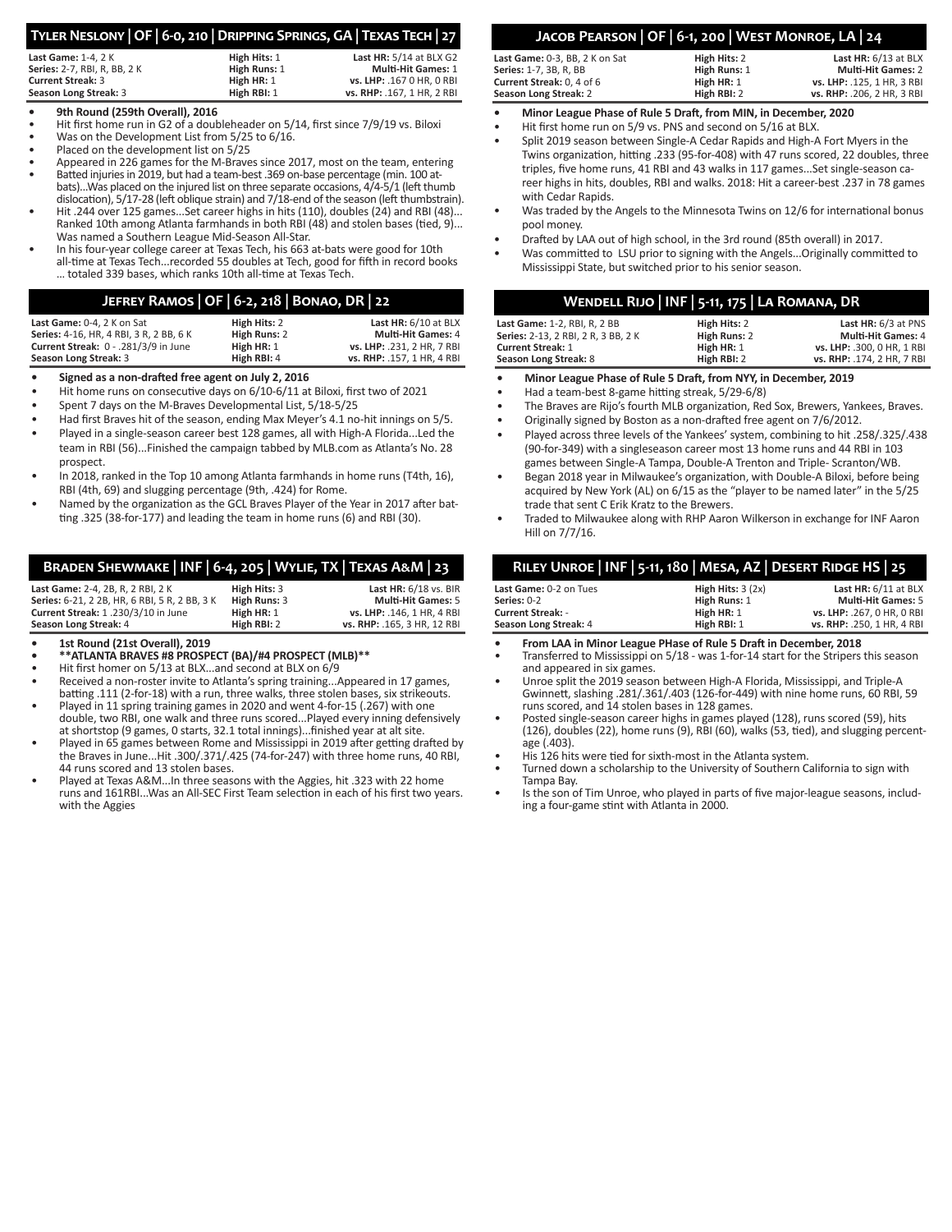# **Tyler Neslony | OF | 6-0, 210 | Dripping Springs, GA | Texas Tech | 27**

| <b>Last Game: 1-4, 2 K</b>   | High Hits: 1 | <b>Last HR: 5/14 at BLX G2</b> |
|------------------------------|--------------|--------------------------------|
| Series: 2-7, RBI, R, BB, 2 K | High Runs: 1 | <b>Multi-Hit Games: 1</b>      |
| <b>Current Streak: 3</b>     | High HR: 1   | vs. LHP: .167 0 HR. 0 RBI      |
| Season Long Streak: 3        | High RBI: 1  | vs. RHP: .167, 1 HR, 2 RBI     |

## **• 9th Round (259th Overall), 2016**

- Hit first home run in G2 of a doubleheader on 5/14, first since 7/9/19 vs. Biloxi
- Was on the Development List from 5/25 to 6/16.
- Placed on the development list on 5/25
- Appeared in 226 games for the M-Braves since 2017, most on the team, entering
- Batted injuries in 2019, but had a team-best .369 on-base percentage (min. 100 atbats)...Was placed on the injured list on three separate occasions, 4/4-5/1 (left thumb dislocation), 5/17-28 (left oblique strain) and 7/18-end of the season (left thumbstrain).
- Hit .244 over 125 games...Set career highs in hits (110), doubles (24) and RBI (48)... Ranked 10th among Atlanta farmhands in both RBI (48) and stolen bases (tied, 9)... Was named a Southern League Mid-Season All-Star.
- In his four-year college career at Texas Tech, his 663 at-bats were good for 10th all-time at Texas Tech...recorded 55 doubles at Tech, good for fifth in record books … totaled 339 bases, which ranks 10th all-time at Texas Tech.

# **Jefrey Ramos | OF | 6-2, 218 | Bonao, DR | 22**

| Last Game: 0-4, 2 K on Sat              | High Hits: 2 | Last $HR: 6/10$ at BLX     |
|-----------------------------------------|--------------|----------------------------|
| Series: 4-16, HR, 4 RBI, 3 R, 2 BB, 6 K | High Runs: 2 | <b>Multi-Hit Games: 4</b>  |
| Current Streak: 0 - .281/3/9 in June    | High HR: 1   | vs. LHP: .231. 2 HR. 7 RBI |
| Season Long Streak: 3                   | High RBI: 4  | vs. RHP: .157, 1 HR, 4 RBI |

- **• Signed as a non-drafted free agent on July 2, 2016**
- Hit home runs on consecutive days on 6/10-6/11 at Biloxi, first two of 2021
- Spent 7 days on the M-Braves Developmental List, 5/18-5/25
- Had first Braves hit of the season, ending Max Meyer's 4.1 no-hit innings on 5/5.
- Played in a single-season career best 128 games, all with High-A Florida...Led the team in RBI (56)...Finished the campaign tabbed by MLB.com as Atlanta's No. 28 prospect.
- In 2018, ranked in the Top 10 among Atlanta farmhands in home runs (T4th, 16), RBI (4th, 69) and slugging percentage (9th, .424) for Rome.
- Named by the organization as the GCL Braves Player of the Year in 2017 after batting .325 (38-for-177) and leading the team in home runs (6) and RBI (30).

# **Braden Shewmake | INF | 6-4, 205 | Wylie, TX | Texas A&M | 23**

| Last Game: 2-4, 2B, R, 2 RBI, 2 K             | High Hits: 3 | Last $HR: 6/18$ vs. BIR     |
|-----------------------------------------------|--------------|-----------------------------|
| Series: 6-21, 2 2B, HR, 6 RBI, 5 R, 2 BB, 3 K | High Runs: 3 | <b>Multi-Hit Games: 5</b>   |
| Current Streak: 1.230/3/10 in June            | High HR: 1   | vs. LHP: .146. 1 HR. 4 RBI  |
| Season Long Streak: 4                         | High RBI: 2  | vs. RHP: .165. 3 HR. 12 RBI |

- **• 1st Round (21st Overall), 2019**
- **• \*\*ATLANTA BRAVES #8 PROSPECT (BA)/#4 PROSPECT (MLB)\*\***
- Hit first homer on 5/13 at BLX...and second at BLX on 6/9
- Received a non-roster invite to Atlanta's spring training...Appeared in 17 games, batting .111 (2-for-18) with a run, three walks, three stolen bases, six strikeouts.
- Played in 11 spring training games in 2020 and went 4-for-15 (.267) with one double, two RBI, one walk and three runs scored...Played every inning defensively at shortstop (9 games, 0 starts, 32.1 total innings)...finished year at alt site.
- Played in 65 games between Rome and Mississippi in 2019 after getting drafted by the Braves in June...Hit .300/.371/.425 (74-for-247) with three home runs, 40 RBI, 44 runs scored and 13 stolen bases.
- Played at Texas A&M...In three seasons with the Aggies, hit .323 with 22 home runs and 161RBI...Was an All-SEC First Team selection in each of his first two years. with the Aggies

# **Jacob Pearson | OF | 6-1, 200 | West Monroe, LA | 24**

| Last Game: 0-3, BB, 2 K on Sat<br><b>Series:</b> 1-7. 3B. R. BB | High Hits: 2<br>High Runs: 1 | Last $HR: 6/13$ at BLX<br><b>Multi-Hit Games: 2</b> |
|-----------------------------------------------------------------|------------------------------|-----------------------------------------------------|
| Current Streak: 0.4 of 6                                        | High HR: 1                   | vs. LHP: .125. 1 HR. 3 RBI                          |
| Season Long Streak: 2                                           | High RBI: 2                  | vs. RHP: .206. 2 HR. 3 RBI                          |
|                                                                 |                              |                                                     |

- **• Minor League Phase of Rule 5 Draft, from MIN, in December, 2020**
- Hit first home run on 5/9 vs. PNS and second on 5/16 at BLX.
- Split 2019 season between Single-A Cedar Rapids and High-A Fort Myers in the Twins organization, hitting .233 (95-for-408) with 47 runs scored, 22 doubles, three triples, five home runs, 41 RBI and 43 walks in 117 games...Set single-season career highs in hits, doubles, RBI and walks. 2018: Hit a career-best .237 in 78 games with Cedar Rapids.
- Was traded by the Angels to the Minnesota Twins on 12/6 for international bonus pool money.
- Drafted by LAA out of high school, in the 3rd round (85th overall) in 2017.
- Was committed to LSU prior to signing with the Angels...Originally committed to Mississippi State, but switched prior to his senior season.

| WENDELL RIJO   INF   5-11, 175   LA ROMANA, DR |              |                            |
|------------------------------------------------|--------------|----------------------------|
| Last Game: 1-2, RBI, R, 2 BB                   | High Hits: 2 | Last HR: 6/3 at PNS        |
| Series: 2-13, 2 RBI, 2 R, 3 BB, 2 K            | High Runs: 2 | <b>Multi-Hit Games: 4</b>  |
| <b>Current Streak: 1</b>                       | High HR: 1   | vs. LHP: .300. 0 HR. 1 RBI |
| Season Long Streak: 8                          | High RBI: 2  | vs. RHP: .174, 2 HR, 7 RBI |

- **• Minor League Phase of Rule 5 Draft, from NYY, in December, 2019**
- Had a team-best 8-game hitting streak, 5/29-6/8)
- The Braves are Rijo's fourth MLB organization, Red Sox, Brewers, Yankees, Braves.
- Originally signed by Boston as a non-drafted free agent on 7/6/2012.
- Played across three levels of the Yankees' system, combining to hit .258/.325/.438 (90-for-349) with a singleseason career most 13 home runs and 44 RBI in 103 games between Single-A Tampa, Double-A Trenton and Triple- Scranton/WB.
- Began 2018 year in Milwaukee's organization, with Double-A Biloxi, before being acquired by New York (AL) on 6/15 as the "player to be named later" in the 5/25 trade that sent C Erik Kratz to the Brewers.
- Traded to Milwaukee along with RHP Aaron Wilkerson in exchange for INF Aaron Hill on 7/7/16.

| RILEY UNROE   INF   5-11, 180   MESA, AZ   DESERT RIDGE HS   25 |                    |                            |
|-----------------------------------------------------------------|--------------------|----------------------------|
| Last Game: 0-2 on Tues                                          | High Hits: $3(2x)$ | Last HR: 6/11 at BLX       |
| Series: 0-2                                                     | High Runs: 1       | <b>Multi-Hit Games: 5</b>  |
| <b>Current Streak: -</b>                                        | High HR: 1         | vs. LHP: .267. 0 HR. 0 RBI |
| Season Long Streak: 4                                           | High RBI: 1        | vs. RHP: .250, 1 HR, 4 RBI |

- **• From LAA in Minor League PHase of Rule 5 Draft in December, 2018**
- Transferred to Mississippi on 5/18 was 1-for-14 start for the Stripers this season and appeared in six games.
- Unroe split the 2019 season between High-A Florida, Mississippi, and Triple-A Gwinnett, slashing .281/.361/.403 (126-for-449) with nine home runs, 60 RBI, 59 runs scored, and 14 stolen bases in 128 games.
- Posted single-season career highs in games played (128), runs scored (59), hits (126), doubles (22), home runs (9), RBI (60), walks (53, tied), and slugging percentage (.403).
- His 126 hits were tied for sixth-most in the Atlanta system.
- Turned down a scholarship to the University of Southern California to sign with Tampa Bay.
- Is the son of Tim Unroe, who played in parts of five major-league seasons, including a four-game stint with Atlanta in 2000.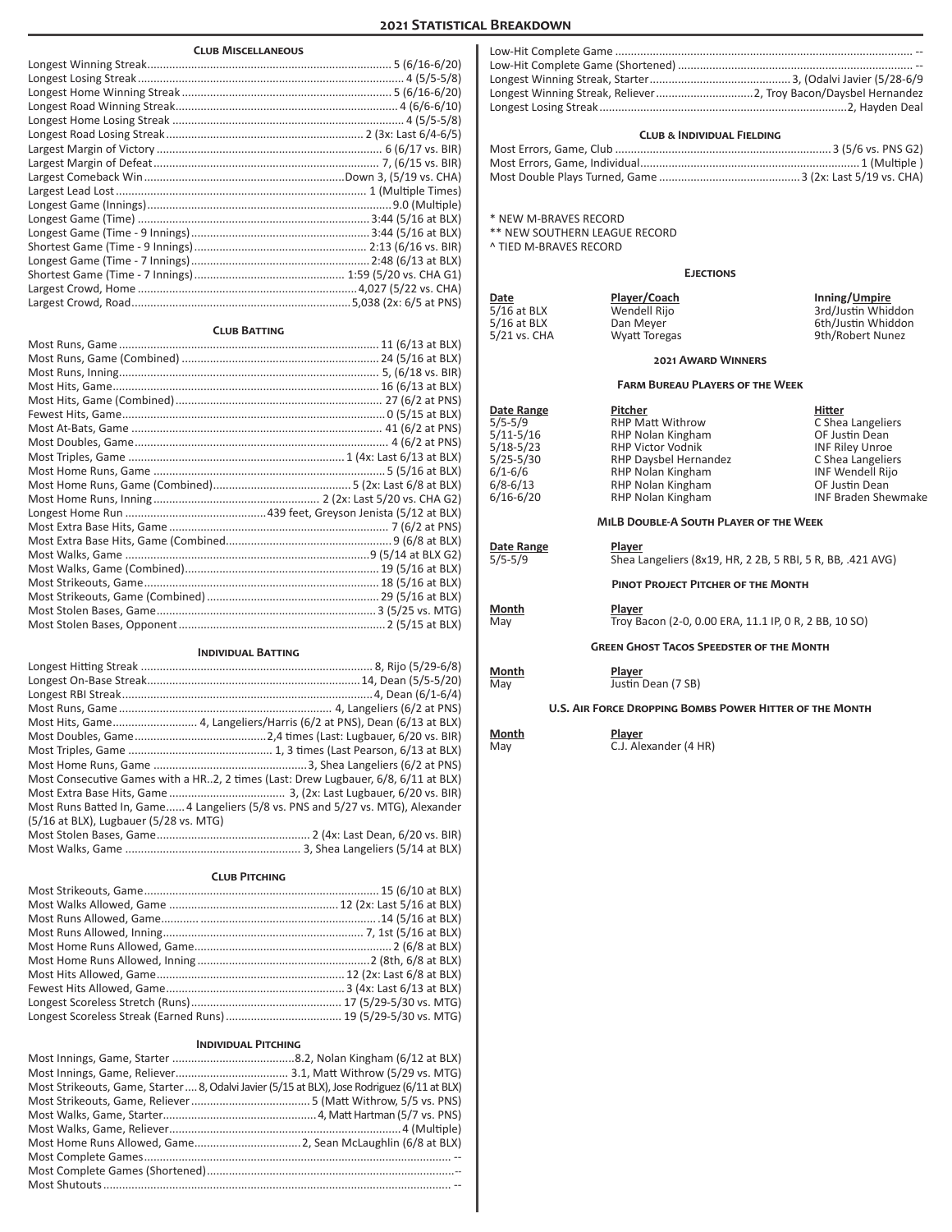# **2021 Statistical Breakdown**

| <b>CLUB MISCELLANEOUS</b> |
|---------------------------|

#### **Club Batting**

#### **Individual Batting**

| Most Consecutive Games with a HR2, 2 times (Last: Drew Lugbauer, 6/8, 6/11 at BLX) |  |
|------------------------------------------------------------------------------------|--|
|                                                                                    |  |
| Most Runs Batted In, Game 4 Langeliers (5/8 vs. PNS and 5/27 vs. MTG), Alexander   |  |
| (5/16 at BLX), Lugbauer (5/28 vs. MTG)                                             |  |
|                                                                                    |  |
|                                                                                    |  |

#### **Club Pitching**

## **Individual Pitching**

| Most Strikeouts, Game, Starter  8, Odalvi Javier (5/15 at BLX), Jose Rodriguez (6/11 at BLX) |  |
|----------------------------------------------------------------------------------------------|--|
|                                                                                              |  |
|                                                                                              |  |
|                                                                                              |  |
|                                                                                              |  |
|                                                                                              |  |
|                                                                                              |  |
|                                                                                              |  |

# **Club & Individual Fielding**

\* NEW M-BRAVES RECORD

\*\* NEW SOUTHERN LEAGUE RECORD

^ TIED M-BRAVES RECORD

#### **Ejections**

**Date Player/Coach Inning/Umpire** 5/16 at BLX **South Accord Wendell Rijo 3rd/Justin Whiddon** 5/16 at BLX **Dan Meyer Communist Communist Communist Communist Communist Communist Communist Communist Communist Communist Communist Communist Communist Communist Communist Communist Communist Communist Communist Communi** 5/21 vs. CHA Wyatt Toregas 9th/Robert Nunez

#### **2021 Award Winners**

#### **Farm Bureau Players of the Week**

EXAP Matt Withrow C Shea Langelie<br>
Shea Langeliers C Shea Langeliers<br>
OF Justin Dean 5/11-5/16 RHP Nolan Kingham OF Justin Dean 5/18-5/23 RHP Victor Vodnik INF Riley Unroe<br>5/25-5/30 RHP Daysbel Hernandez C Shea Langeliers 5/25-5/30 RHP Daysbel Hernandez C Shea Langeliers 6/1-6/6 RHP Nolan Kingham INF Wendell Rijor (1986)<br>6/8-6/13 RHP Nolan Kingham Information CF Justin Dean 6/8-6/13 RHP Nolan Kingham CF Justin Dean<br>6/16-6/20 RHP Nolan Kingham NG RHP The Braden Shewmake RHP Nolan Kingham

**Date Range Pitcher Hitter**

# **MiLB Double-A South Player of the Week**

#### **Date Range Player**<br>5/5-5/9 **Shea Lange** Shea Langeliers (8x19, HR, 2 2B, 5 RBI, 5 R, BB, .421 AVG)

**Pinot Project Pitcher of the Month**

**Month Player**<br>May **Player Player** 

Troy Bacon (2-0, 0.00 ERA, 11.1 IP, 0 R, 2 BB, 10 SO)

#### **Green Ghost Tacos Speedster of the Month**

**Month Player**

Justin Dean (7 SB)

#### **U.S. Air Force Dropping Bombs Power Hitter of the Month**

**Month Player**

C.J. Alexander (4 HR)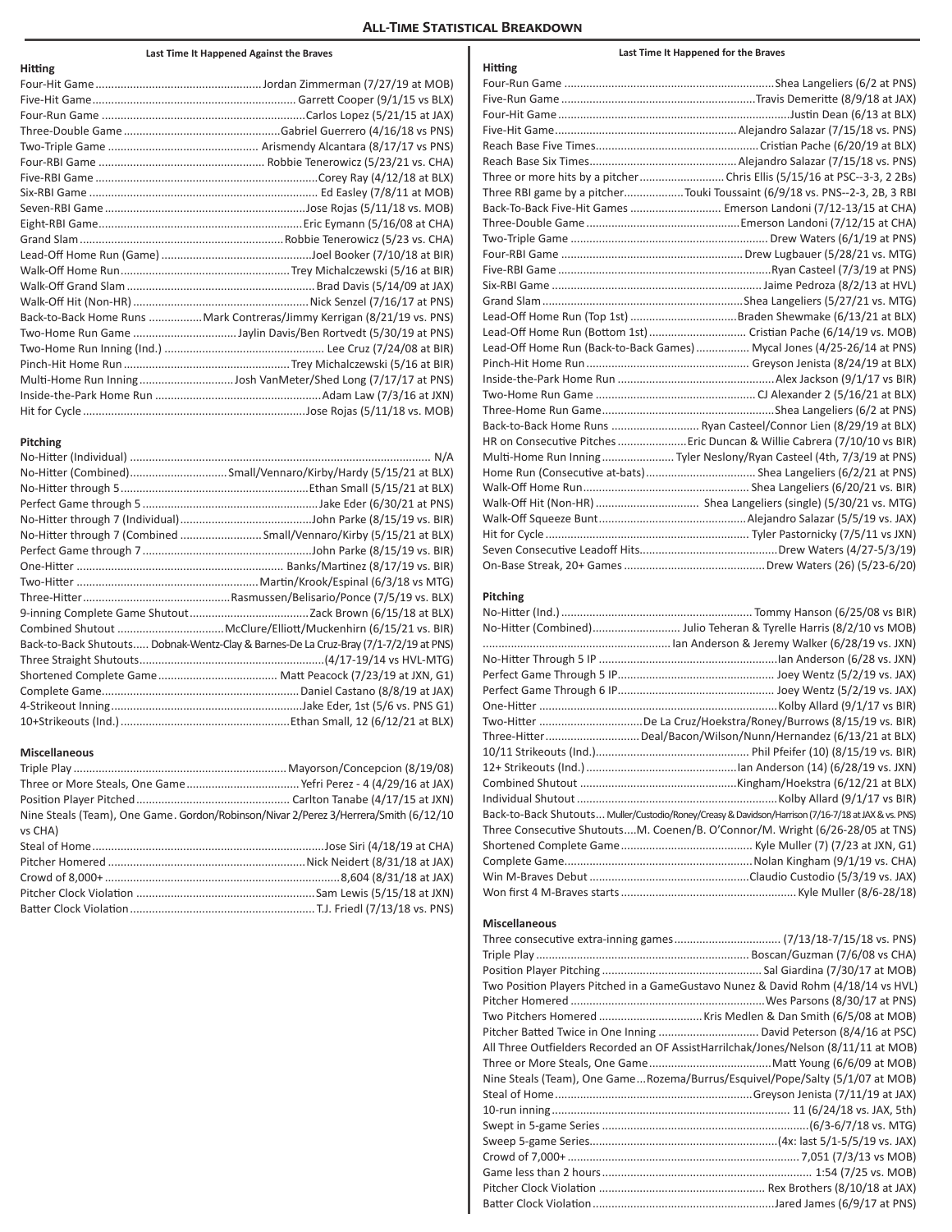# **All-Time Statistical Breakdown**

# **Last Time It Happened Against the Braves**

| <b>Hitting</b> |                                                                         |
|----------------|-------------------------------------------------------------------------|
|                |                                                                         |
|                |                                                                         |
|                |                                                                         |
|                |                                                                         |
|                |                                                                         |
|                |                                                                         |
|                |                                                                         |
|                |                                                                         |
|                |                                                                         |
|                |                                                                         |
|                |                                                                         |
|                |                                                                         |
|                |                                                                         |
|                |                                                                         |
|                |                                                                         |
|                | Back-to-Back Home Runs  Mark Contreras/Jimmy Kerrigan (8/21/19 vs. PNS) |
|                |                                                                         |
|                |                                                                         |
|                |                                                                         |
|                |                                                                         |
|                |                                                                         |
|                |                                                                         |

# **Pitching**

| No-Hitter through 7 (Combined Small/Vennaro/Kirby (5/15/21 at BLX)                   |
|--------------------------------------------------------------------------------------|
|                                                                                      |
|                                                                                      |
|                                                                                      |
|                                                                                      |
|                                                                                      |
|                                                                                      |
| Back-to-Back Shutouts Dobnak-Wentz-Clay & Barnes-De La Cruz-Bray (7/1-7/2/19 at PNS) |
|                                                                                      |
|                                                                                      |
|                                                                                      |
|                                                                                      |
|                                                                                      |

# **Miscellaneous**

| Nine Steals (Team), One Game. Gordon/Robinson/Nivar 2/Perez 3/Herrera/Smith (6/12/10 |  |
|--------------------------------------------------------------------------------------|--|
| vs CHA)                                                                              |  |
|                                                                                      |  |
|                                                                                      |  |
|                                                                                      |  |
|                                                                                      |  |
|                                                                                      |  |
|                                                                                      |  |

| Hitting |                                                                            |
|---------|----------------------------------------------------------------------------|
|         |                                                                            |
|         |                                                                            |
|         |                                                                            |
|         |                                                                            |
|         |                                                                            |
|         |                                                                            |
|         |                                                                            |
|         | Three RBI game by a pitcherTouki Toussaint (6/9/18 vs. PNS--2-3, 2B, 3 RBI |
|         | Back-To-Back Five-Hit Games  Emerson Landoni (7/12-13/15 at CHA)           |
|         |                                                                            |
|         |                                                                            |
|         |                                                                            |
|         |                                                                            |
|         |                                                                            |
|         |                                                                            |
|         |                                                                            |
|         | Lead-Off Home Run (Bottom 1st)  Cristian Pache (6/14/19 vs. MOB)           |
|         | Lead-Off Home Run (Back-to-Back Games)  Mycal Jones (4/25-26/14 at PNS)    |
|         |                                                                            |
|         |                                                                            |
|         |                                                                            |
|         |                                                                            |
|         | Back-to-Back Home Runs  Ryan Casteel/Connor Lien (8/29/19 at BLX)          |
|         | HR on Consecutive Pitches  Eric Duncan & Willie Cabrera (7/10/10 vs BIR)   |
|         | Multi-Home Run InningTyler Neslony/Ryan Casteel (4th, 7/3/19 at PNS)       |
|         |                                                                            |
|         |                                                                            |
|         | Walk-Off Hit (Non-HR)  Shea Langeliers (single) (5/30/21 vs. MTG)          |
|         |                                                                            |
|         |                                                                            |
|         |                                                                            |
|         |                                                                            |

**Last Time It Happened for the Braves**

# **Pitching**

| Two-Hitter De La Cruz/Hoekstra/Roney/Burrows (8/15/19 vs. BIR)                                      |  |
|-----------------------------------------------------------------------------------------------------|--|
| Three-HitterDeal/Bacon/Wilson/Nunn/Hernandez (6/13/21 at BLX)                                       |  |
|                                                                                                     |  |
|                                                                                                     |  |
|                                                                                                     |  |
|                                                                                                     |  |
| Back-to-Back Shutouts Muller/Custodio/Roney/Creasy & Davidson/Harrison (7/16-7/18 at JAX & vs. PNS) |  |
| Three Consecutive ShutoutsM. Coenen/B. O'Connor/M. Wright (6/26-28/05 at TNS)                       |  |
|                                                                                                     |  |
|                                                                                                     |  |
|                                                                                                     |  |
|                                                                                                     |  |

# **Miscellaneous**

| Two Position Players Pitched in a GameGustavo Nunez & David Rohm (4/18/14 vs HVL)   |
|-------------------------------------------------------------------------------------|
|                                                                                     |
|                                                                                     |
| Pitcher Batted Twice in One Inning  David Peterson (8/4/16 at PSC)                  |
| All Three Outfielders Recorded an OF AssistHarrilchak/Jones/Nelson (8/11/11 at MOB) |
|                                                                                     |
| Nine Steals (Team), One GameRozema/Burrus/Esquivel/Pope/Salty (5/1/07 at MOB)       |
|                                                                                     |
|                                                                                     |
|                                                                                     |
|                                                                                     |
|                                                                                     |
|                                                                                     |
|                                                                                     |
|                                                                                     |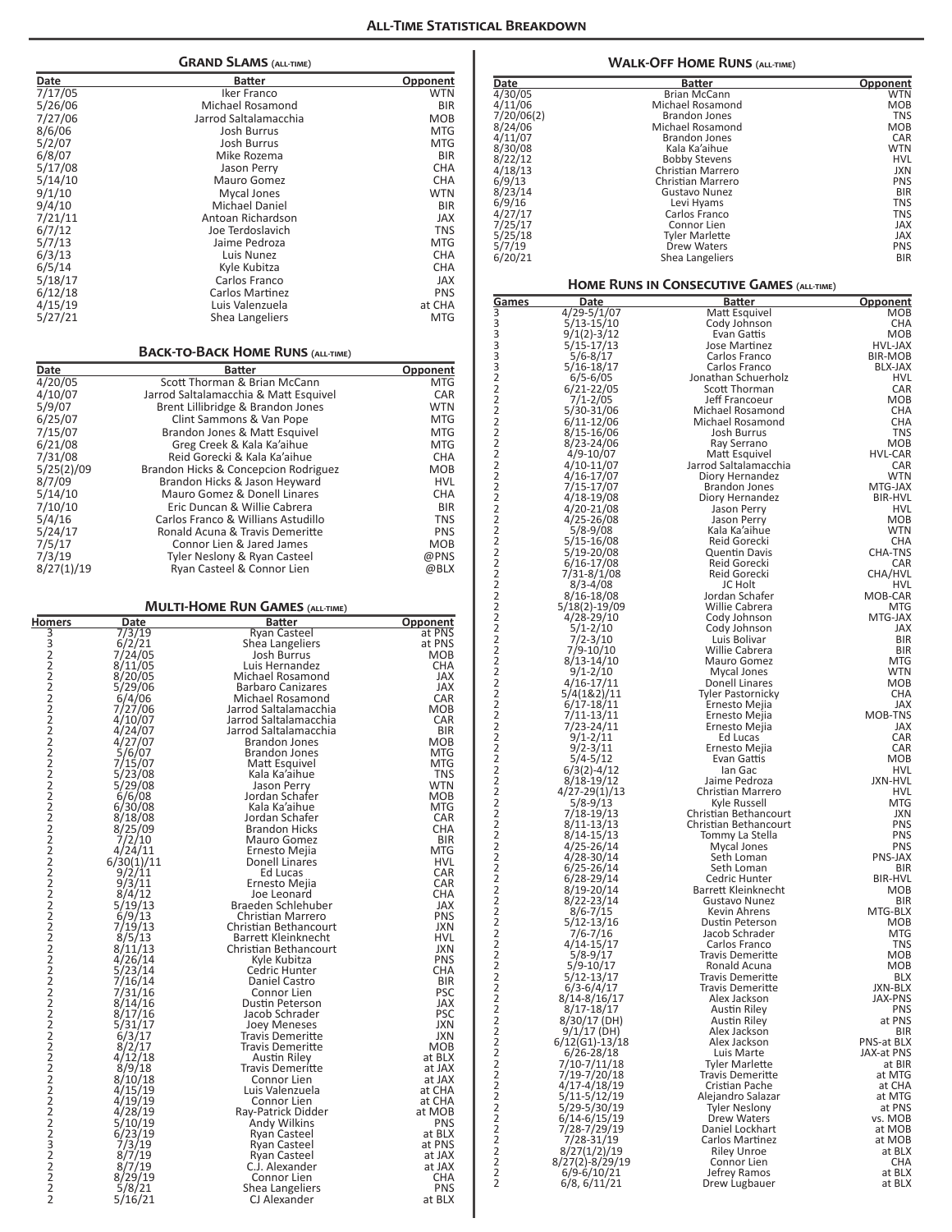| <b>GRAND SLAMS (ALL-TIME)</b> |                       |            |  |
|-------------------------------|-----------------------|------------|--|
| Date                          | Batter                | Opponent   |  |
| 7/17/05                       | Iker Franco           | <b>WTN</b> |  |
| 5/26/06                       | Michael Rosamond      | <b>BIR</b> |  |
| 7/27/06                       | Jarrod Saltalamacchia | <b>MOB</b> |  |
| 8/6/06                        | <b>Josh Burrus</b>    | <b>MTG</b> |  |
| 5/2/07                        | <b>Josh Burrus</b>    | <b>MTG</b> |  |
| 6/8/07                        | Mike Rozema           | <b>BIR</b> |  |
| 5/17/08                       | <b>Jason Perry</b>    | <b>CHA</b> |  |
| 5/14/10                       | Mauro Gomez           | <b>CHA</b> |  |
| 9/1/10                        | Mycal Jones           | <b>WTN</b> |  |
| 9/4/10                        | Michael Daniel        | <b>BIR</b> |  |
| 7/21/11                       | Antoan Richardson     | <b>JAX</b> |  |
| 6/7/12                        | Joe Terdoslavich      | <b>TNS</b> |  |
| 5/7/13                        | Jaime Pedroza         | <b>MTG</b> |  |
| 6/3/13                        | Luis Nunez            | <b>CHA</b> |  |
| 6/5/14                        | Kyle Kubitza          | <b>CHA</b> |  |
| 5/18/17                       | Carlos Franco         | <b>JAX</b> |  |
| 6/12/18                       | Carlos Martinez       | <b>PNS</b> |  |
| 4/15/19                       | Luis Valenzuela       | at CHA     |  |
| 5/27/21                       | Shea Langeliers       | <b>MTG</b> |  |
|                               |                       |            |  |

# **BACK-TO-BACK HOME RUNS (ALL-TIME)**

| Date<br><b>Batter</b> |                                       | Opponent   |  |
|-----------------------|---------------------------------------|------------|--|
| 4/20/05               | Scott Thorman & Brian McCann          | <b>MTG</b> |  |
| 4/10/07               | Jarrod Saltalamacchia & Matt Esquivel | <b>CAR</b> |  |
| 5/9/07                | Brent Lillibridge & Brandon Jones     | <b>WTN</b> |  |
| 6/25/07               | Clint Sammons & Van Pope              | <b>MTG</b> |  |
| 7/15/07               | Brandon Jones & Matt Esquivel         | <b>MTG</b> |  |
| 6/21/08               | Greg Creek & Kala Ka'aihue            | <b>MTG</b> |  |
| 7/31/08               | Reid Gorecki & Kala Ka'aihue          | <b>CHA</b> |  |
| 5/25(2)/09            | Brandon Hicks & Concepcion Rodriguez  | <b>MOB</b> |  |
| 8/7/09                | Brandon Hicks & Jason Heyward         | <b>HVL</b> |  |
| 5/14/10               | Mauro Gomez & Donell Linares          | <b>CHA</b> |  |
| 7/10/10               | Eric Duncan & Willie Cabrera          | <b>BIR</b> |  |
| 5/4/16                | Carlos Franco & Willians Astudillo    | <b>TNS</b> |  |
| 5/24/17               | Ronald Acuna & Travis Demeritte       | <b>PNS</b> |  |
| 7/5/17                | Connor Lien & Jared James             | <b>MOB</b> |  |
| 7/3/19                | Tyler Neslony & Ryan Casteel          | @PNS       |  |
| 8/27(1)/19            | Ryan Casteel & Connor Lien            | @BLX       |  |

# **Multi-Home Run Games (all-time)**

| Homers         | Date              | Batter                                       | Opponent                 |
|----------------|-------------------|----------------------------------------------|--------------------------|
|                | 7/3/19            | Ryan Casteel                                 | at PNS                   |
|                | 6/2/21            | Shea Langeliers                              | at PNS                   |
|                | 7/24/05           | Josh Burrus                                  | MOB                      |
|                | 8/11/05           | Luis Hernandez                               | <b>CHA</b>               |
|                | 8/20/05           | Michael Rosamond                             | JAX                      |
|                | 5/29/06           | <b>Barbaro Canizares</b><br>Michael Rosamond | <b>JAX</b><br><b>CAR</b> |
|                | 6/4/06<br>7/27/06 | Jarrod Saltalamacchia                        | <b>MOB</b>               |
|                | 4/10/07           | Jarrod Saltalamacchia                        | CAR                      |
|                | 4/24/07           | Jarrod Saltalamacchia                        | <b>BIR</b>               |
|                | 4/27/07           | <b>Brandon Jones</b>                         | <b>MOB</b>               |
|                | 5/6/07            | <b>Brandon Jones</b>                         | MTG                      |
|                | 7/15/07           | Matt Esquivel                                | <b>MTG</b>               |
|                | 5/23/08           | Kala Ka'aihue                                | <b>TNS</b>               |
|                | 5/29/08           | Jason Perry                                  | WTN                      |
|                | 6/6/08            | Jordan Schafer                               | MOB                      |
|                | 6/30/08           | Kala Ka'aihue                                | <b>MTG</b>               |
|                | 8/18/08           | Jordan Schafer                               | CAR                      |
|                | 8/25/09           | <b>Brandon Hicks</b>                         | <b>CHA</b>               |
|                | 7/2/10            | Mauro Gomez                                  | <b>BIR</b>               |
|                | 4/24/11           | Ernesto Mejia                                | MTG                      |
|                | 6/30(1)/11        | Donell Linares<br>Ed Lucas                   | <b>HVL</b><br><b>CAR</b> |
|                | 9/2/11<br>9/3/11  | Ernesto Mejia                                | <b>CAR</b>               |
|                | 8/4/12            | Joe Leonard                                  | <b>CHA</b>               |
|                | 5/19/13           | Braeden Schlehuber                           | <b>JAX</b>               |
|                | 6/9/13            | Christian Marrero                            | <b>PNS</b>               |
|                | 7/19/13           | Christian Bethancourt                        | <b>JXN</b>               |
|                | 8/5/13            | Barrett Kleinknecht                          | <b>HVL</b>               |
|                | 8/11/13           | Christian Bethancourt                        | <b>JXN</b>               |
|                | 4/26/14           | Kyle Kubitza                                 | <b>PNS</b>               |
|                | 5/23/14           | Cedric Hunter                                | <b>CHA</b>               |
|                | 7/16/14           | Daniel Castro                                | BIR                      |
|                | 7/31/16           | Connor Lien                                  | <b>PSC</b>               |
|                | 8/14/16           | Dustin Peterson                              | JAX                      |
|                | 8/17/16           | Jacob Schrader                               | <b>PSC</b>               |
|                | 5/31/17<br>6/3/17 | <b>Joey Meneses</b>                          | <b>JXN</b><br><b>JXN</b> |
|                | 8/2/17            | Travis Demeritte<br>Travis Demeritte         | MOB                      |
|                | 4/12/18           | Austin Riley                                 | at BLX                   |
|                | 8/9/18            | Travis Demeritte                             | at JAX                   |
|                | 8/10/18           | Connor Lien                                  | at JAX                   |
|                | 4/15/19           | Luis Valenzuela                              | at CHA                   |
|                | 4/19/19           | Connor Lien                                  | at CHA                   |
|                | 4/28/19           | Ray-Patrick Didder                           | at MOB                   |
|                | 5/10/19           | Andy Wilkins                                 | <b>PNS</b>               |
|                | 6/23/19           | <b>Ryan Casteel</b>                          | at BLX                   |
|                | 7/3/19            | Ryan Casteel                                 | at PNS                   |
|                | 8/7/19            | Ryan Casteel                                 | at JAX                   |
|                | 8/7/19            | C.J. Alexander                               | at JAX                   |
|                | 8/29/19           | Connor Lien                                  | CHA                      |
| $\overline{2}$ | 5/8/21            | Shea Langeliers                              | <b>PNS</b>               |
|                | 5/16/21           | CJ Alexander                                 | at BLX                   |

| <b>WALK-OFF HOME RUNS (ALL-TIME)</b> |                                                 |                                                  |                              |
|--------------------------------------|-------------------------------------------------|--------------------------------------------------|------------------------------|
| Date                                 |                                                 | <b>Batter</b>                                    | <u>Opponent</u>              |
| $\frac{4}{30/05}$                    |                                                 | <b>Brian McCann</b>                              | WTN                          |
| 4/11/06<br>7/20/06(2)                |                                                 | <b>Michael Rosamond</b><br><b>Brandon Jones</b>  | MOB<br><b>TNS</b>            |
| 8/24/06                              |                                                 | Michael Rosamond                                 | MOB                          |
| 4/11/07<br>8/30/08                   |                                                 | <b>Brandon Jones</b><br>Kala Ka'aihue            | CAR<br><b>WTN</b>            |
| 8/22/12                              |                                                 | <b>Bobby Stevens</b>                             | HVL                          |
| 4/18/13                              |                                                 | Christian Marrero                                | JXN                          |
| 6/9/13<br>8/23/14                    |                                                 | Christian Marrero<br>Gustavo Nunez               | <b>PNS</b><br><b>BIR</b>     |
| 6/9/16                               |                                                 | Levi Hyams                                       | <b>TNS</b>                   |
| 4/27/17                              |                                                 | Carlos Franco<br>Connor Lien                     | TNS<br>JAX                   |
| 7/25/17<br>5/25/18                   |                                                 | Tvler Marlette                                   | <b>JAX</b>                   |
| 5/7/19                               |                                                 | Drew Waters                                      | <b>PNS</b>                   |
| 6/20/21                              |                                                 | Shea Langeliers                                  | <b>BIR</b>                   |
|                                      |                                                 | <b>HOME RUNS IN CONSECUTIVE GAMES (ALL-TIME)</b> |                              |
| Games                                | Date                                            | Batter                                           | <u>Opponent</u>              |
| $\frac{3}{3}$                        | $\frac{4}{29-5}/\frac{1}{07}$<br>$5/13 - 15/10$ | Matt Esquivel<br>Cody Johnson                    | MOB<br>CHA                   |
| $\overline{\mathbf{3}}$              | 9/1(2)-3/12                                     | Evan Gattis                                      | MOB                          |
| 3<br>3                               | 5/15-17/13<br>5/6-8/17                          | <b>Jose Martinez</b><br>Carlos Franco            | HVL-JAX<br>BIR-MOB           |
| 3                                    | 5/16-18/17                                      | Carlos Franco                                    | BLX-JAX                      |
| 2                                    | 6/5-6/05                                        | Jonathan Schuerholz                              | <b>HVL</b>                   |
| 2<br>2                               | $6/21 - 22/05$<br>7/1-2/05                      | Scott Thorman<br>Jeff Francoeur                  | CAR<br>MOB                   |
| 2                                    | 5/30-31/06                                      | Michael Rosamond                                 | <b>CHA</b>                   |
| 2<br>2                               | 6/11-12/06<br>8/15-16/06                        | Michael Rosamond<br>Josh Burrus                  | CHA<br>TNS                   |
| 2                                    | 8/23-24/06                                      | Ray Serrano                                      | <b>MOB</b>                   |
| 2                                    | $4/9 - 10/07$                                   | Matt Esquivel                                    | HVL-CAR                      |
| $\overline{2}$<br>2                  | 4/10-11/07<br>4/16-17/07                        | Jarrod Saltalamacchia<br>Diory Hernandez         | <b>CAR</b><br><b>WTN</b>     |
| 2                                    | 7/15-17/07                                      | Brandon Jones                                    | MTG-JAX                      |
| $\overline{2}$<br>2                  | 4/18-19/08                                      | Diory Hernandez                                  | BIR-HVL                      |
| 2                                    | 4/20-21/08<br>4/25-26/08                        | Jason Perry<br>Jason Perry                       | <b>HVL</b><br>MOB            |
| $\overline{2}$                       | 5/8-9/08                                        | Kala Ka'aihue                                    | <b>WTN</b>                   |
| 2<br>2                               | 5/15-16/08<br>5/19-20/08                        | Reid Gorecki<br>Quentin Davis                    | <b>CHA</b><br><b>CHA-TNS</b> |
| $\overline{2}$                       | 6/16-17/08                                      | Reid Gorecki                                     | CAR.                         |
| 2                                    | 7/31-8/1/08                                     | Reid Gorecki                                     | CHA/HVL                      |
| $\overline{2}$<br>$\overline{2}$     | $8/3 - 4/08$<br>8/16-18/08                      | JC Holt<br>Jordan Schafer                        | <b>HVL</b><br>MOB-CAR        |
| 2                                    | 5/18(2)-19/09                                   | Willie Cabrera                                   | MTG                          |
| $\overline{2}$<br>$\overline{2}$     | 4/28-29/10                                      | Cody Johnson                                     | MTG-JAX<br>JAX               |
| 2                                    | 5/1-2/10<br>7/2-3/10                            | Cody Johnson<br>Luis Bolivar                     | <b>BIR</b>                   |
| $\overline{2}$                       | 7/9-10/10                                       | Willie Cabrera                                   | BIR                          |
| $\overline{2}$<br>2                  | $8/13 - 14/10$<br>9/1-2/10                      | Mauro Gomez<br>Mycal Jones                       | MTG<br><b>WTN</b>            |
| 2                                    | 4/16-17/11                                      | Donell Linares                                   | MOB                          |
| $\overline{2}$                       | 5/4(1&2)/11                                     | <b>Tyler Pastornicky</b>                         | <b>CHA</b>                   |
| $\overline{c}$<br>$\overline{c}$     | $6/17 - 18/11$<br>7/11-13/11                    | Ernesto Mejia<br>Ernesto Mejia                   | <b>JAX</b><br>MOB-TNS        |
| $\overline{2}$                       | 7/23-24/11                                      | Ernesto Mejia                                    | JAX                          |
| 2<br>2                               | 9/1-2/11<br>9/2-3/11                            | Ed Lucas<br>Ernesto Mejia                        | <b>CAR</b><br>CAR            |
| 2                                    | 5/4-5/12                                        | Evan Gattis                                      | <b>MOB</b>                   |
| 2                                    | 6/3(2)-4/12                                     | lan Gac                                          | <b>HVL</b>                   |
| 2<br>2                               | $8/18 - 19/12$<br>4/27-29(1)/13                 | Jaime Pedroza<br>Christian Marrero               | JXN-HVL<br>HVL               |
| 2                                    | $5/8 - 9/13$                                    | Kyle Russell                                     | <b>MTG</b>                   |
| 2<br>2                               | 7/18-19/13<br>8/11-13/13                        | Christian Bethancourt<br>Christian Bethancourt   | JXN<br><b>PNS</b>            |
| 2                                    | 8/14-15/13                                      | Tommy La Stella                                  | <b>PNS</b>                   |
| 2                                    | 4/25-26/14                                      | Mycal Jones                                      | PNS                          |
| 2<br>2                               | 4/28-30/14<br>$6/25 - 26/14$                    | Seth Loman<br>Seth Loman                         | PNS-JAX<br><b>BIR</b>        |
| 2                                    | 6/28-29/14                                      | Cedric Hunter                                    | BIR-HVL                      |
| 2<br>2                               | 8/19-20/14<br>8/22-23/14                        | Barrett Kleinknecht<br>Gustavo Nunez             | <b>MOB</b><br><b>BIR</b>     |
| 2                                    | $8/6 - 7/15$                                    | Kevin Ahrens                                     | MTG-BLX                      |
| 2                                    | 5/12-13/16                                      | Dustin Peterson                                  | MOB                          |
| 2<br>2                               | $7/6 - 7/16$<br>4/14-15/17                      | Jacob Schrader<br>Carlos Franco                  | <b>MTG</b><br>TNS            |
| 2                                    | 5/8-9/17                                        | <b>Travis Demeritte</b>                          | MOB                          |
| 2<br>2                               | $5/9 - 10/17$<br>5/12-13/17                     | Ronald Acuna<br><b>Travis Demeritte</b>          | MOB<br>BLX                   |
| 2                                    | $6/3 - 6/4/17$                                  | <b>Travis Demeritte</b>                          | JXN-BLX                      |
| 2                                    | 8/14-8/16/17                                    | Alex Jackson                                     | JAX-PNS                      |
| 2<br>2                               | 8/17-18/17<br>8/30/17 (DH)                      | Austin Riley<br>Austin Riley                     | <b>PNS</b><br>at PNS         |
| 2                                    | 9/1/17 (DH)                                     | Alex Jackson                                     | <b>BIR</b>                   |
| 2<br>2                               | 6/12(G1)-13/18<br>6/26-28/18                    | Alex Jackson<br>Luis Marte                       | PNS-at BLX<br>JAX-at PNS     |
| 2                                    | 7/10-7/11/18                                    | Tyler Marlette                                   | at BIR                       |
| 2                                    | 7/19-7/20/18                                    | Travis Demeritte                                 | at MTG                       |
| 2<br>2                               | 4/17-4/18/19<br>5/11-5/12/19                    | Cristian Pache<br>Alejandro Salazar              | at CHA<br>at MTG             |
| 2                                    | 5/29-5/30/19                                    | Tyler Neslony                                    | at PNS                       |
| 2<br>2                               | 6/14-6/15/19                                    | Drew Waters<br>Daniel Lockhart                   | vs. MOB                      |
| 2                                    | 7/28-7/29/19<br>7/28-31/19                      | Carlos Martinez                                  | at MOB<br>at MOB             |
| 2                                    | 8/27(1/2)/19                                    | <b>Riley Unroe</b>                               | at BLX                       |
| 2<br>2                               | 8/27(2)-8/29/19<br>$6/9 - 6/10/21$              | Connor Lien<br>Jefrey Ramos                      | <b>CHA</b><br>at BLX         |
| 2                                    | 6/8, 6/11/21                                    | Drew Lugbauer                                    | at BLX                       |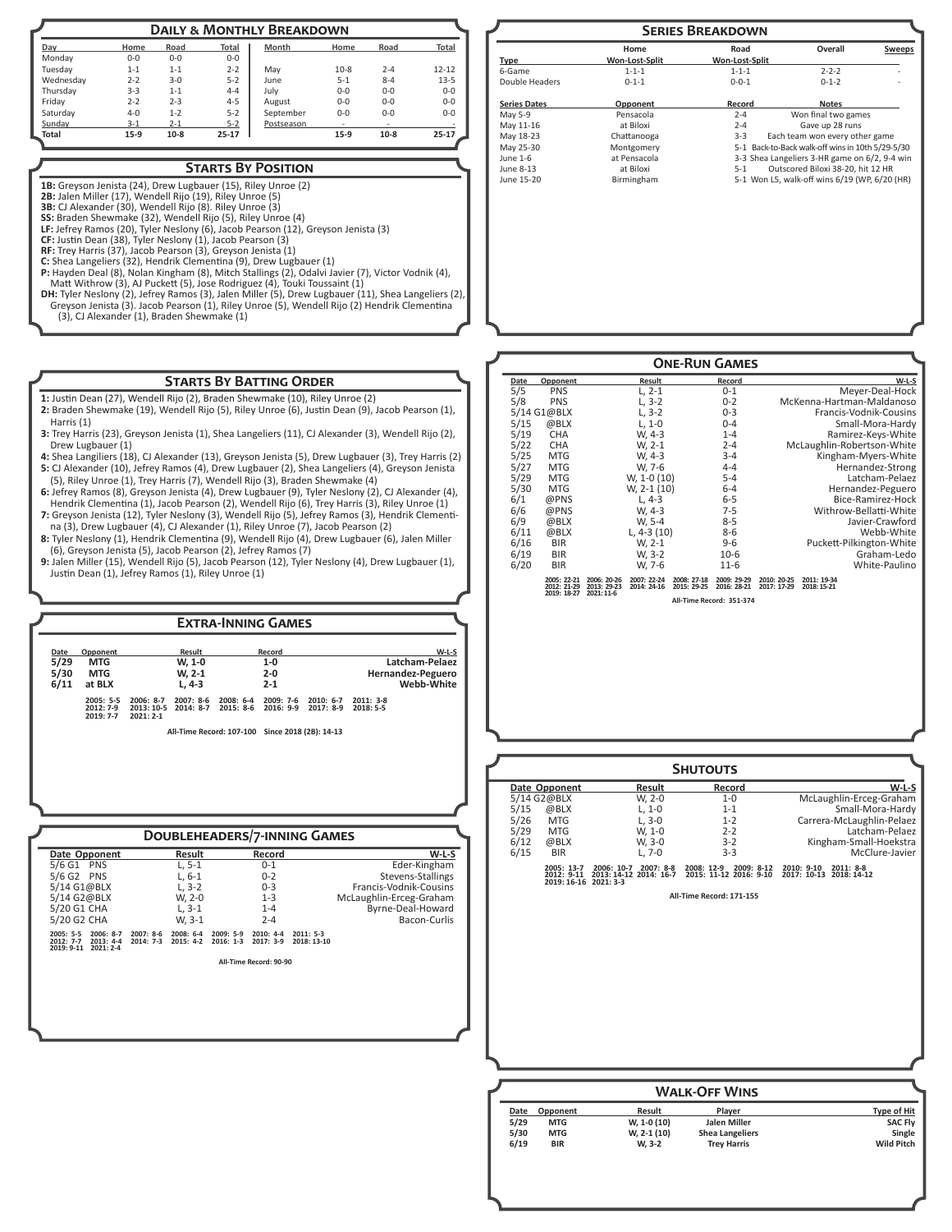| <b>DAILY &amp; MONTHLY BREAKDOWN</b> |         |         |           |            |         |         |           |  |  |
|--------------------------------------|---------|---------|-----------|------------|---------|---------|-----------|--|--|
| Day                                  | Home    | Road    | Total     | Month      | Home    | Road    | Total     |  |  |
| Monday                               | $0 - 0$ | $0 - 0$ | $0 - 0$   |            |         |         |           |  |  |
| Tuesday                              | $1 - 1$ | $1 - 1$ | $2 - 2$   | May        | $10-8$  | $2 - 4$ | $12 - 12$ |  |  |
| Wednesdav                            | $2 - 2$ | $3 - 0$ | $5 - 2$   | June       | $5 - 1$ | $8 - 4$ | $13 - 5$  |  |  |
| Thursday                             | $3 - 3$ | $1 - 1$ | $4 - 4$   | July       | $0-0$   | $0 - 0$ | $0 - 0$   |  |  |
| Fridav                               | $2 - 2$ | $2 - 3$ | $4 - 5$   | August     | $0-0$   | $0 - 0$ | $0 - 0$   |  |  |
| Saturday                             | $4 - 0$ | $1 - 2$ | $5 - 2$   | September  | $0 - 0$ | $0 - 0$ | $0 - 0$   |  |  |
| Sunday                               | $3 - 1$ | $2 - 1$ | $5 - 2$   | Postseason |         |         |           |  |  |
| Total                                | $15-9$  | $10-8$  | $25 - 17$ |            | $15-9$  | $10-8$  | 25-17     |  |  |

# **Starts By Position**

**1B:** Greyson Jenista (24), Drew Lugbauer (15), Riley Unroe (2)

**2B:** Jalen Miller (17), Wendell Rijo (19), Riley Unroe (5)

**3B:** CJ Alexander (30), Wendell Rijo (8). Riley Unroe (3) **SS:** Braden Shewmake (32), Wendell Rijo (5), Riley Unroe (4)

**LF:** Jefrey Ramos (20), Tyler Neslony (6), Jacob Pearson (12), Greyson Jenista (3)

**CF:** Justin Dean (38), Tyler Neslony (1), Jacob Pearson (3) **RF:** Trey Harris (37), Jacob Pearson (3), Greyson Jenista (1)

C: Shea Langeliers (32), Hendrik Clementina (9), Drew Lugbauer (1)<br>P: Hayden Deal (8), Nolan Kingham (8), Micto Kavator (7), Victor Vodnik (4),<br>Matt Withrow (3), Al Puckett (5), Jose Rodriguez (4), Touki Toussaint (1)<br>DH:

# **Starts By Batting Order**

**1:** Justin Dean (27), Wendell Rijo (2), Braden Shewmake (10), Riley Unroe (2)

- **2:** Braden Shewmake (19), Wendell Rijo (5), Riley Unroe (6), Justin Dean (9), Jacob Pearson (1), Harris (1)
- **3:** Trey Harris (23), Greyson Jenista (1), Shea Langeliers (11), CJ Alexander (3), Wendell Rijo (2), Drew Lugbauer (1)
- **4:** Shea Langiliers (18), CJ Alexander (13), Greyson Jenista (5), Drew Lugbauer (3), Trey Harris (2) **5:** CJ Alexander (10), Jefrey Ramos (4), Drew Lugbauer (2), Shea Langeliers (4), Greyson Jenista (5), Riley Unroe (1), Trey Harris (7), Wendell Rijo (3), Braden Shewmake (4)
- **6:** Jefrey Ramos (8), Greyson Jenista (4), Drew Lugbauer (9), Tyler Neslony (2), CJ Alexander (4), Hendrik Clementina (1), Jacob Pearson (2), Wendell Rijo (6), Trey Harris (3), Riley Unroe (1)
- **7:** Greyson Jenista (12), Tyler Neslony (3), Wendell Rijo (5), Jefrey Ramos (3), Hendrik Clementi-
- na (3), Drew Lugbauer (4), CJ Alexander (1), Riley Unroe (7), Jacob Pearson (2) **8:** Tyler Neslony (1), Hendrik Clementina (9), Wendell Rijo (4), Drew Lugbauer (6), Jalen Miller (6), Greyson Jenista (5), Jacob Pearson (2), Jefrey Ramos (7)
- **9:** Jalen Miller (15), Wendell Rijo (5), Jacob Pearson (12), Tyler Neslony (4), Drew Lugbauer (1), Justin Dean (1), Jefrey Ramos (1), Riley Unroe (1)

**Date Opponent Result Record W-L-S 5/29 MTG W, 1-0 1-0 Latcham-Pelaez 5/30 MTG W, 2-1 2-0 Hernandez-Peguero 6/11 at BLX L, 4-3 2-1 Webb-White 2005: 5-5 2006: 8-7 2007: 8-6 2008: 6-4 2009: 7-6 2010: 6-7 2011: 3-8 2012: 7-9 2013: 10-5 2014: 8-7 2015: 8-6 2016: 9-9 2017: 8-9 2018: 5-5 2019: 7-7 2021: 2-1 All-Time Record: 107-100 Since 2018 (2B): 14-13 Extra-Inning Games**

|                                                                                     |                          |                            | <b>DOUBLEHEADERS/7-INNING GAMES</b>                    |         |                            |                         |
|-------------------------------------------------------------------------------------|--------------------------|----------------------------|--------------------------------------------------------|---------|----------------------------|-------------------------|
| Date Opponent                                                                       |                          | Result                     | Record                                                 |         |                            | $W-L-S$                 |
| 5/6 G1 PNS                                                                          |                          | L, 5-1                     | $0 - 1$                                                |         |                            | Eder-Kingham            |
| 5/6 G2 PNS                                                                          |                          | $L.6-1$                    | $0 - 2$                                                |         |                            | Stevens-Stallings       |
| 5/14 G1@BLX                                                                         |                          | $L. 3-2$                   | $0 - 3$                                                |         |                            | Francis-Vodnik-Cousins  |
| 5/14 G2@BLX                                                                         |                          | W. 2-0                     | $1 - 3$                                                |         |                            | McLaughlin-Erceg-Graham |
| 5/20 G1 CHA                                                                         |                          | $L.3-1$                    |                                                        | $1 - 4$ |                            | Byrne-Deal-Howard       |
| 5/20 G2 CHA                                                                         |                          | W. 3-1                     | $2 - 4$                                                |         |                            | Bacon-Curlis            |
| $2005: 5-5$<br>2006: 8-7<br>$2012:7-7$<br>$2013: 4-4$<br>2019: 9-11<br>$2021:2 - 4$ | $2007:8-6$<br>$2014:7-3$ | $2008: 6-4$<br>$2015: 4-2$ | $2009:5-9$<br>$2010: 4-4$<br>$2017:3-9$<br>$2016: 1-3$ |         | $2011: 5-3$<br>2018: 13-10 |                         |
|                                                                                     |                          |                            | All-Time Record: 90-90                                 |         |                            |                         |
|                                                                                     |                          |                            |                                                        |         |                            |                         |
|                                                                                     |                          |                            |                                                        |         |                            |                         |

| Overall<br>Road<br>Home<br><b>Sweeps</b> |                |                |                                                  |  |  |  |  |  |
|------------------------------------------|----------------|----------------|--------------------------------------------------|--|--|--|--|--|
| <b>Type</b>                              | Won-Lost-Split | Won-Lost-Split |                                                  |  |  |  |  |  |
| 6-Game                                   | $1 - 1 - 1$    | $1 - 1 - 1$    | $2 - 2 - 2$                                      |  |  |  |  |  |
| Double Headers                           | $0 - 1 - 1$    | $0 - 0 - 1$    | $0 - 1 - 2$                                      |  |  |  |  |  |
| <b>Series Dates</b>                      | Opponent       | Record         | <b>Notes</b>                                     |  |  |  |  |  |
| May 5-9                                  | Pensacola      | $2 - 4$        | Won final two games                              |  |  |  |  |  |
| May 11-16                                | at Biloxi      | $2 - 4$        | Gave up 28 runs                                  |  |  |  |  |  |
| May 18-23                                | Chattanooga    | $3 - 3$        | Each team won every other game                   |  |  |  |  |  |
| May 25-30                                | Montgomery     |                | 5-1 Back-to-Back walk-off wins in 10th 5/29-5/30 |  |  |  |  |  |
| June 1-6                                 | at Pensacola   |                | 3-3 Shea Langeliers 3-HR game on 6/2, 9-4 win    |  |  |  |  |  |
| June 8-13                                | at Biloxi      | $5-1$          | Outscored Biloxi 38-20, hit 12 HR                |  |  |  |  |  |
| June 15-20                               | Birmingham     |                | 5-1 Won L5, walk-off wins 6/19 (WP, 6/20 (HR)    |  |  |  |  |  |

| <b>ONE-RUN GAMES</b>          |                                           |                                          |                            |                            |                            |                            |                            |                            |
|-------------------------------|-------------------------------------------|------------------------------------------|----------------------------|----------------------------|----------------------------|----------------------------|----------------------------|----------------------------|
| Date                          | Opponent                                  |                                          | Result                     |                            | Record                     |                            |                            | $W-L-S$                    |
| 5/5<br>$L, 2-1$<br><b>PNS</b> |                                           |                                          |                            | $0 - 1$                    |                            |                            | Meyer-Deal-Hock            |                            |
| 5/8<br><b>PNS</b><br>$L, 3-2$ |                                           |                                          |                            | $0 - 2$                    |                            |                            | McKenna-Hartman-Maldanoso  |                            |
|                               | 5/14 G1@BLX                               |                                          | $L, 3-2$                   |                            | $0 - 3$                    |                            |                            | Francis-Vodnik-Cousins     |
| 5/15                          | @BLX                                      |                                          | $L, 1-0$                   |                            | $0 - 4$                    |                            |                            | Small-Mora-Hardy           |
| 5/19                          | <b>CHA</b>                                |                                          | W. 4-3                     |                            | $1 - 4$                    |                            |                            | Ramirez-Keys-White         |
| 5/22                          | <b>CHA</b>                                |                                          | W. 2-1                     |                            | $2 - 4$                    |                            |                            | McLaughlin-Robertson-White |
| 5/25                          | <b>MTG</b>                                |                                          | W, 4-3                     |                            | $3 - 4$                    |                            |                            | Kingham-Myers-White        |
| 5/27                          | <b>MTG</b>                                |                                          | W, 7-6                     |                            | $4 - 4$                    |                            |                            | Hernandez-Strong           |
| 5/29                          | <b>MTG</b>                                |                                          | W, 1-0 (10)                |                            | $5 - 4$                    |                            |                            | Latcham-Pelaez             |
| 5/30                          | <b>MTG</b>                                |                                          | W, 2-1 (10)                |                            | $6 - 4$                    |                            |                            | Hernandez-Peguero          |
| 6/1                           | @PNS                                      |                                          | $L.4-3$                    |                            | $6 - 5$                    |                            |                            | Bice-Ramirez-Hock          |
| 6/6                           | @PNS                                      |                                          | W. 4-3                     |                            | $7 - 5$                    |                            |                            | Withrow-Bellatti-White     |
| 6/9                           | @BLX                                      |                                          | W. 5-4                     |                            | $8 - 5$                    |                            |                            | Javier-Crawford            |
| 6/11                          | @BLX                                      |                                          | L, $4-3(10)$               |                            | $8 - 6$                    |                            |                            | Webb-White                 |
| 6/16                          | <b>BIR</b>                                |                                          | W, 2-1                     |                            | $9 - 6$                    |                            |                            | Puckett-Pilkington-White   |
| 6/19                          | <b>BIR</b>                                |                                          | W, 3-2                     |                            | $10-6$                     |                            |                            | Graham-Ledo                |
| 6/20                          | <b>BIR</b>                                |                                          | W, 7-6                     |                            | $11-6$                     |                            |                            | White-Paulino              |
|                               | 2005: 22-21<br>2012: 21-29<br>2019: 18-27 | 2006: 20-26<br>2013: 29-23<br>2021: 11-6 | 2007: 22-24<br>2014: 24-16 | 2008: 27-18<br>2015: 29-25 | 2009: 29-29<br>2016: 28-21 | 2010: 20-25<br>2017: 17-29 | 2011: 19-34<br>2018: 15-21 |                            |
|                               |                                           |                                          |                            |                            | All-Time Record: 351-374   |                            |                            |                            |

|                    | Date Opponent                           | Result<br>Record                                                 |                                                    | W-L-S                                                 |
|--------------------|-----------------------------------------|------------------------------------------------------------------|----------------------------------------------------|-------------------------------------------------------|
| 5/14 G2@BLX        |                                         | W, 2-0                                                           | $1 - 0$                                            | McLaughlin-Erceg-Graham                               |
| 5/15<br>@BLX       |                                         | $L, 1-0$                                                         | $1 - 1$                                            | Small-Mora-Hardy                                      |
| 5/26               | <b>MTG</b>                              | $L, 3-0$                                                         | $1 - 2$                                            | Carrera-McLaughlin-Pelaez                             |
| 5/29               | <b>MTG</b>                              | W, 1-0                                                           | $2 - 2$                                            | Latcham-Pelaez                                        |
| 6/12<br>@BLX       |                                         | W. 3-0                                                           | $3 - 2$                                            | Kingham-Small-Hoekstra                                |
| 6/15<br><b>BIR</b> |                                         | $L, 7-0$                                                         | $3 - 3$                                            | McClure-Javier                                        |
|                    | 2005: 13-7<br>2012: 9-11<br>2019: 16-16 | $2007:8-8$<br>2006: 10-7<br>2013: 14-12 2014: 16-7<br>$2021:3-3$ | 2009: 8-12<br>2008: 12-9<br>2015: 11-12 2016: 9-10 | 2010: 9-10<br>2011: 8-8<br>2017: 10-13<br>2018: 14-12 |
|                    |                                         |                                                                  | All-Time Record: 171-155                           |                                                       |
|                    |                                         |                                                                  |                                                    |                                                       |
|                    |                                         |                                                                  |                                                    |                                                       |
|                    |                                         |                                                                  |                                                    |                                                       |

| Date | Opponent   | Result      | Player                 | <b>Type of Hit</b> |
|------|------------|-------------|------------------------|--------------------|
| 5/29 | <b>MTG</b> | W, 1-0 (10) | Jalen Miller           | <b>SAC Fly</b>     |
| 5/30 | <b>MTG</b> | W, 2-1 (10) | <b>Shea Langeliers</b> | Single             |
| 6/19 | <b>BIR</b> | W. 3-2      | <b>Trey Harris</b>     | <b>Wild Pitch</b>  |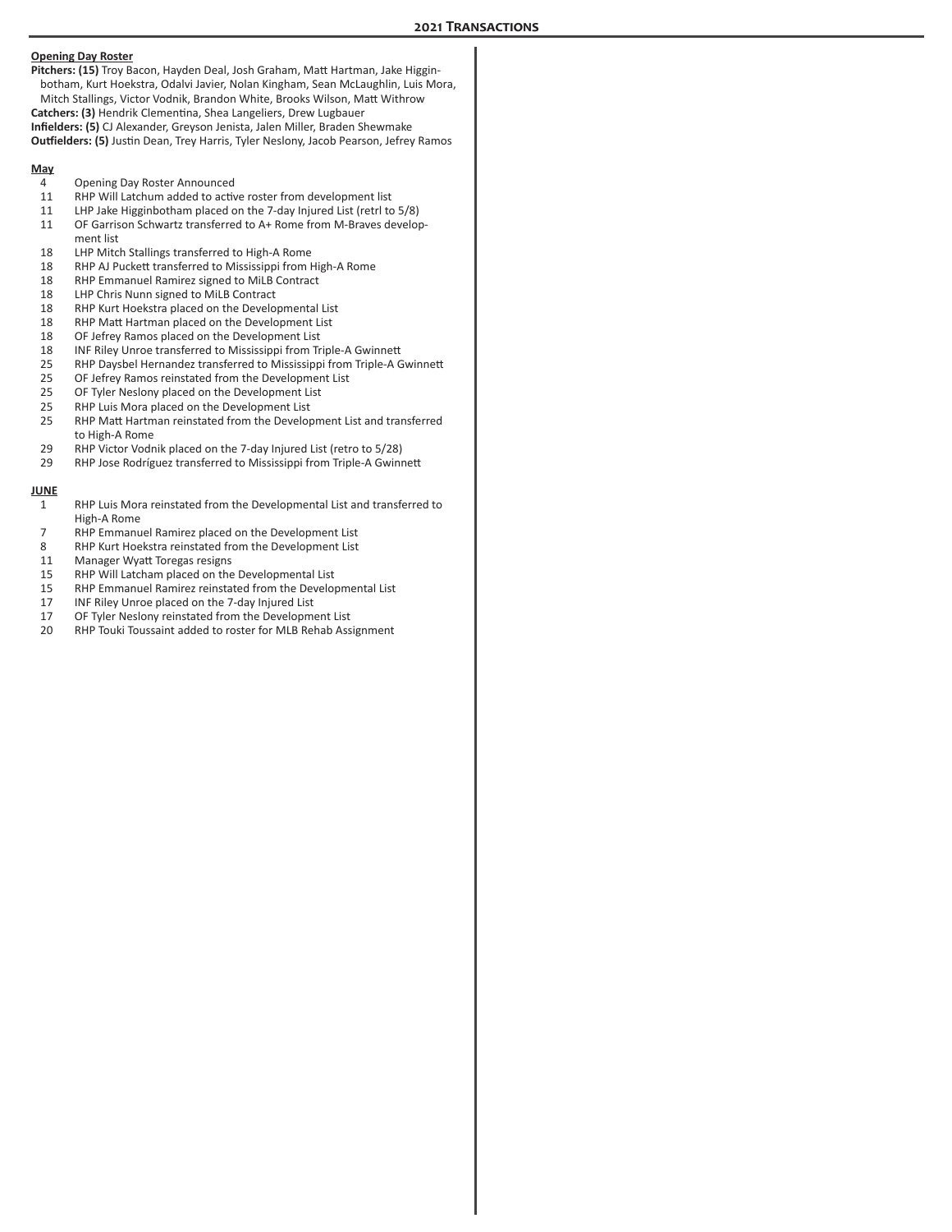#### **Opening Day Roster**

**Pitchers: (15)** Troy Bacon, Hayden Deal, Josh Graham, Matt Hartman, Jake Higginbotham, Kurt Hoekstra, Odalvi Javier, Nolan Kingham, Sean McLaughlin, Luis Mora, Mitch Stallings, Victor Vodnik, Brandon White, Brooks Wilson, Matt Withrow **Catchers: (3)** Hendrik Clementina, Shea Langeliers, Drew Lugbauer **Infielders: (5)** CJ Alexander, Greyson Jenista, Jalen Miller, Braden Shewmake **Outfielders: (5)** Justin Dean, Trey Harris, Tyler Neslony, Jacob Pearson, Jefrey Ramos

# **May**

- 
- 4 Opening Day Roster Announced<br>11 RHP Will Latchum added to activ RHP Will Latchum added to active roster from development list
- 11 LHP Jake Higginbotham placed on the 7-day Injured List (retrl to 5/8)
- 11 OF Garrison Schwartz transferred to A+ Rome from M-Braves development list
- 18 LHP Mitch Stallings transferred to High-A Rome
- 18 RHP AJ Puckett transferred to Mississippi from High-A Rome<br>18 RHP Emmanuel Ramirez signed to Mil B Contract
- RHP Emmanuel Ramirez signed to MiLB Contract
- 18 LHP Chris Nunn signed to MiLB Contract<br>18 RHP Kurt Hoekstra placed on the Develop
- RHP Kurt Hoekstra placed on the Developmental List
- 18 RHP Matt Hartman placed on the Development List<br>18 OF Jefrey Ramos placed on the Development List
- 18 OF Jefrey Ramos placed on the Development List<br>18 INF Riley Unroe transferred to Mississippi from Tr
- 18 INF Riley Unroe transferred to Mississippi from Triple-A Gwinnett
- 25 RHP Daysbel Hernandez transferred to Mississippi from Triple-A Gwinnett<br>25 OF Jefrey Ramos reinstated from the Development List
- 25 OF Jefrey Ramos reinstated from the Development List<br>25 OF Tyler Neslony placed on the Development List
- OF Tyler Neslony placed on the Development List
- 25 RHP Luis Mora placed on the Development List<br>25 RHP Matt Hartman reinstated from the Develor
- RHP Matt Hartman reinstated from the Development List and transferred to High-A Rome
- 29 RHP Victor Vodnik placed on the 7-day Injured List (retro to 5/28)
- 29 RHP Jose Rodríguez transferred to Mississippi from Triple-A Gwinnett

#### **JUNE**

- 1 RHP Luis Mora reinstated from the Developmental List and transferred to High-A Rome
- 7 RHP Emmanuel Ramirez placed on the Development List
- RHP Kurt Hoekstra reinstated from the Development List
- 11 Manager Wyatt Toregas resigns<br>15 RHP Will Latcham placed on the
- 15 RHP Will Latcham placed on the Developmental List<br>15 RHP Emmanuel Ramirez reinstated from the Develor
- RHP Emmanuel Ramirez reinstated from the Developmental List
- 17 INF Riley Unroe placed on the 7-day Injured List<br>17 OF Tyler Neslony reinstated from the Developme
- OF Tyler Neslony reinstated from the Development List
- 20 RHP Touki Toussaint added to roster for MLB Rehab Assignment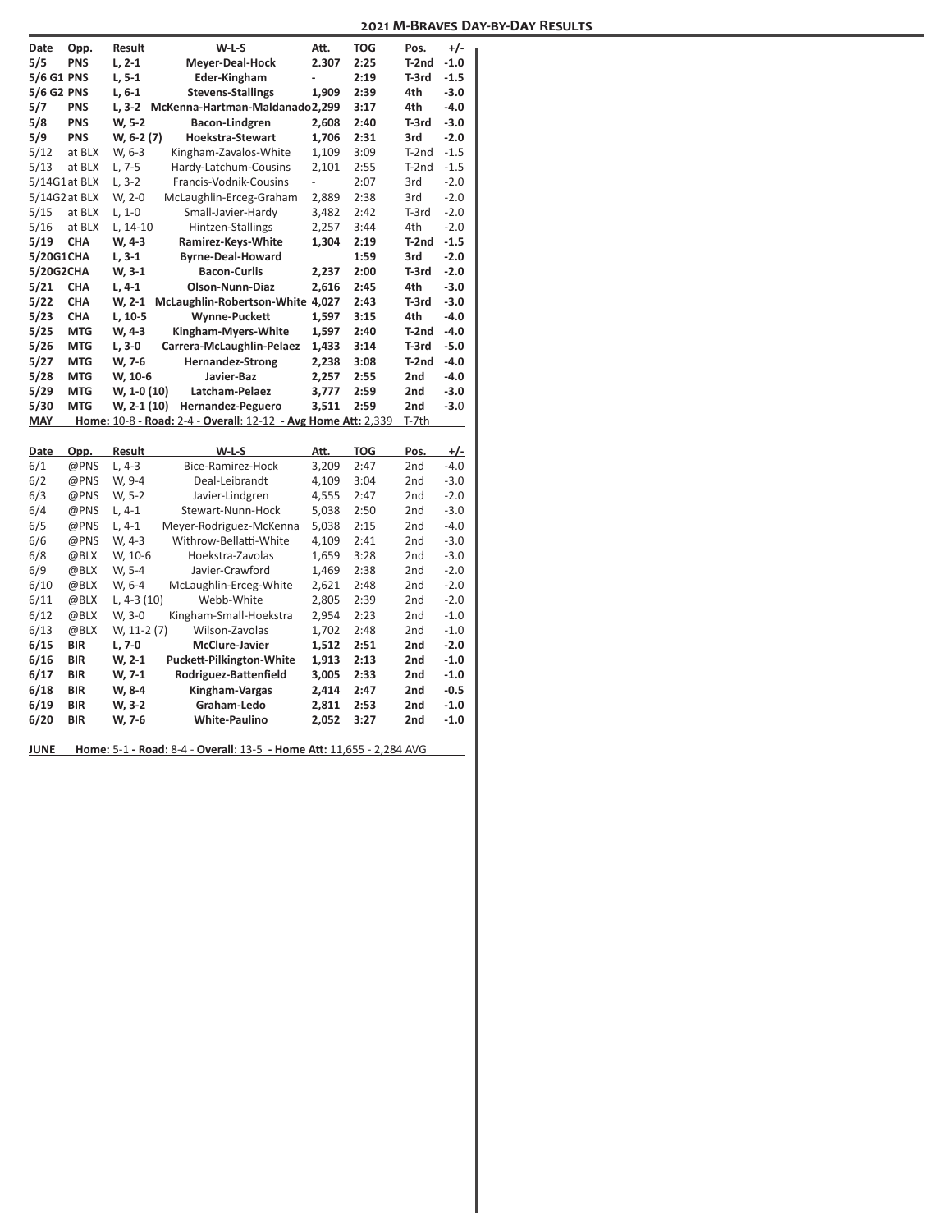| Date          | Opp.       | Result       | $W-L-S$                                                       | Att.           | <b>TOG</b> | Pos.            | $+/-$      |
|---------------|------------|--------------|---------------------------------------------------------------|----------------|------------|-----------------|------------|
| 5/5           | <b>PNS</b> | $L, 2-1$     | Meyer-Deal-Hock                                               | 2.307          | 2:25       | $T-2nd$         | $-1.0$     |
| 5/6 G1 PNS    |            | $L, 5-1$     | <b>Eder-Kingham</b>                                           | ÷,             | 2:19       | T-3rd           | $-1.5$     |
| 5/6 G2 PNS    |            | $L, 6-1$     | <b>Stevens-Stallings</b>                                      | 1.909          | 2:39       | 4th             | $-3.0$     |
| 5/7           | <b>PNS</b> |              | L, 3-2 McKenna-Hartman-Maldanado2,299                         |                | 3:17       | 4th             | $-4.0$     |
| 5/8           | <b>PNS</b> | W, 5-2       | Bacon-Lindgren                                                | 2,608          | 2:40       | T-3rd           | $-3.0$     |
| 5/9           | <b>PNS</b> | W, 6-2 (7)   | <b>Hoekstra-Stewart</b>                                       | 1,706          | 2:31       | 3rd             | $-2.0$     |
| 5/12          | at BLX     | W, 6-3       | Kingham-Zavalos-White                                         | 1,109          | 3:09       | $T-2nd$         | $-1.5$     |
| 5/13          | at BLX     | $L, 7-5$     | Hardy-Latchum-Cousins                                         | 2,101          | 2:55       | $T-2nd$         | $-1.5$     |
| 5/14G1at BLX  |            | $L, 3-2$     | Francis-Vodnik-Cousins                                        | $\overline{a}$ | 2:07       | 3rd             | $-2.0$     |
| 5/14G2 at BLX |            | W, 2-0       | McLaughlin-Erceg-Graham                                       | 2,889          | 2:38       | 3rd             | $-2.0$     |
| 5/15          | at BLX     | $L, 1-0$     | Small-Javier-Hardy                                            | 3,482          | 2:42       | $T-3rd$         | $-2.0$     |
| 5/16          | at BLX     | $L, 14-10$   | Hintzen-Stallings                                             | 2,257          | 3:44       | 4th             | $-2.0$     |
| 5/19          | <b>CHA</b> | W, 4-3       | Ramirez-Keys-White                                            | 1,304          | 2:19       | T-2nd           | $-1.5$     |
| 5/20G1CHA     |            | $L, 3-1$     | <b>Byrne-Deal-Howard</b>                                      |                | 1:59       | 3rd             | $-2.0$     |
| 5/20G2CHA     |            | W, 3-1       | <b>Bacon-Curlis</b>                                           | 2,237          | 2:00       | T-3rd           | $-2.0$     |
| 5/21          | <b>CHA</b> | $L, 4-1$     | <b>Olson-Nunn-Diaz</b>                                        | 2,616          | 2:45       | 4th             | $-3.0$     |
| 5/22          | <b>CHA</b> | W, 2-1       | McLaughlin-Robertson-White 4,027                              |                | 2:43       | T-3rd           | $-3.0$     |
| 5/23          | <b>CHA</b> | L, 10-5      | <b>Wynne-Puckett</b>                                          | 1,597          | 3:15       | 4th             | $-4.0$     |
| 5/25          | <b>MTG</b> | W, 4-3       | Kingham-Myers-White                                           | 1,597          | 2:40       | T-2nd           | $-4.0$     |
| 5/26          | <b>MTG</b> | L, 3-0       | Carrera-McLaughlin-Pelaez                                     | 1,433          | 3:14       | T-3rd           | $-5.0$     |
| 5/27          | <b>MTG</b> | W, 7-6       | <b>Hernandez-Strong</b>                                       | 2,238          | 3:08       | T-2nd           | $-4.0$     |
| 5/28          | <b>MTG</b> | W, 10-6      | Javier-Baz                                                    | 2,257          | 2:55       | 2nd             | $-4.0$     |
|               |            |              |                                                               |                |            |                 |            |
| 5/29          | <b>MTG</b> | W, 1-0 (10)  | Latcham-Pelaez                                                | 3,777          | 2:59       | 2nd             | $-3.0$     |
| 5/30          | <b>MTG</b> | W, 2-1 (10)  | Hernandez-Peguero                                             | 3,511          | 2:59       | 2nd             | $-3.0$     |
| <b>MAY</b>    |            |              | Home: 10-8 - Road: 2-4 - Overall: 12-12 - Avg Home Att: 2,339 |                |            | T-7th           |            |
|               |            |              |                                                               |                |            |                 |            |
| Date          | Opp.       | Result       | $W-L-S$                                                       | Att.           | <b>TOG</b> | Pos.            | <u>+/-</u> |
| 6/1           | @PNS       | $L.4-3$      | Bice-Ramirez-Hock                                             | 3,209          | 2:47       | 2 <sub>nd</sub> | $-4.0$     |
| 6/2           | @PNS       | W, 9-4       | Deal-Leibrandt                                                | 4,109          | 3:04       | 2nd             | $-3.0$     |
| 6/3           | @PNS       | W, 5-2       | Javier-Lindgren                                               | 4,555          | 2:47       | 2nd             | $-2.0$     |
| 6/4           | @PNS       | $L, 4-1$     | Stewart-Nunn-Hock                                             | 5,038          | 2:50       | 2nd             | $-3.0$     |
| 6/5           | @PNS       | $L, 4-1$     | Meyer-Rodriguez-McKenna                                       | 5,038          | 2:15       | 2nd             | $-4.0$     |
| 6/6           | @PNS       | W, 4-3       | Withrow-Bellatti-White                                        | 4,109          | 2:41       | 2nd             | $-3.0$     |
| 6/8           | @BLX       | W, 10-6      | Hoekstra-Zavolas                                              | 1,659          | 3:28       | 2nd             | $-3.0$     |
| 6/9           | @BLX       | W, 5-4       | Javier-Crawford                                               | 1,469          | 2:38       | 2nd             | $-2.0$     |
| 6/10          | @BLX       | W, 6-4       | McLaughlin-Erceg-White                                        | 2,621          | 2:48       | 2nd             | $-2.0$     |
| 6/11          | @BLX       | L, $4-3(10)$ | Webb-White                                                    | 2,805          | 2:39       | 2nd             | $-2.0$     |
| 6/12          | @BLX       | W, 3-0       | Kingham-Small-Hoekstra                                        | 2,954          | 2:23       | 2nd             | $-1.0$     |
| 6/13          | @BLX       | W, 11-2 (7)  | Wilson-Zavolas                                                | 1,702          | 2:48       | 2nd             | $-1.0$     |
| 6/15          | <b>BIR</b> | L, 7-0       | <b>McClure-Javier</b>                                         | 1,512          | 2:51       | 2nd             | $-2.0$     |
| 6/16          | <b>BIR</b> | $W, 2-1$     | <b>Puckett-Pilkington-White</b>                               | 1,913          | 2:13       | 2nd             | $-1.0$     |
| 6/17          | <b>BIR</b> | W, 7-1       | Rodriguez-Battenfield                                         | 3,005          | 2:33       | 2nd             | $-1.0$     |
| 6/18          | <b>BIR</b> | W, 8-4       | Kingham-Vargas                                                | 2,414          | 2:47       | 2nd             | $-0.5$     |
| 6/19          | <b>BIR</b> | W, 3-2       | Graham-Ledo                                                   | 2,811          | 2:53       | 2nd             | $-1.0$     |
| 6/20          | <b>BIR</b> | W, 7-6       | <b>White-Paulino</b>                                          | 2,052          | 3:27       | 2nd             | $-1.0$     |

**JUNE Home:** 5-1 **- Road:** 8-4 - **Overall**: 13-5 **- Home Att:** 11,655 - 2,284 AVG